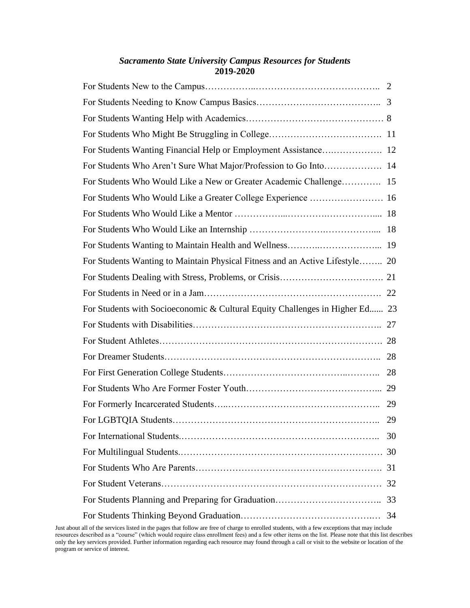# *Sacramento State University Campus Resources for Students* **2019-2020**

| For Students Wanting Financial Help or Employment Assistance 12              |    |
|------------------------------------------------------------------------------|----|
| For Students Who Aren't Sure What Major/Profession to Go Into 14             |    |
| For Students Who Would Like a New or Greater Academic Challenge 15           |    |
| For Students Who Would Like a Greater College Experience  16                 |    |
|                                                                              |    |
|                                                                              |    |
|                                                                              |    |
| For Students Wanting to Maintain Physical Fitness and an Active Lifestyle 20 |    |
|                                                                              |    |
|                                                                              |    |
|                                                                              |    |
| For Students with Socioeconomic & Cultural Equity Challenges in Higher Ed 23 |    |
|                                                                              |    |
|                                                                              |    |
|                                                                              |    |
|                                                                              |    |
|                                                                              |    |
|                                                                              |    |
|                                                                              | 29 |
|                                                                              | 30 |
|                                                                              |    |
|                                                                              |    |
|                                                                              |    |
|                                                                              |    |

Just about all of the services listed in the pages that follow are free of charge to enrolled students, with a few exceptions that may include resources described as a "course" (which would require class enrollment fees) and a few other items on the list. Please note that this list describes only the key services provided. Further information regarding each resource may found through a call or visit to the website or location of the program or service of interest.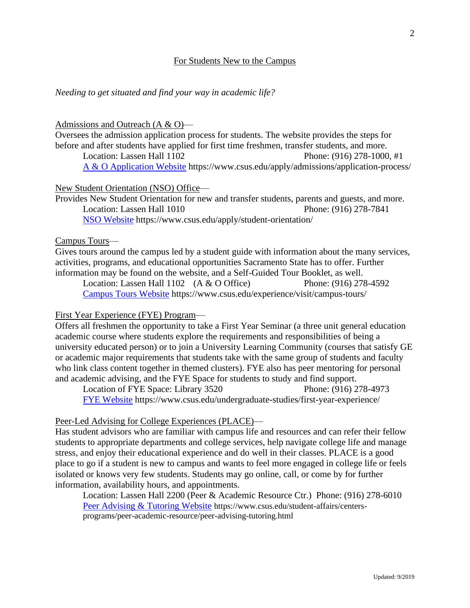## For Students New to the Campus

#### *Needing to get situated and find your way in academic life?*

#### Admissions and Outreach (A & O)—

Oversees the admission application process for students. The website provides the steps for before and after students have applied for first time freshmen, transfer students, and more. Location: Lassen Hall 1102 Phone: (916) 278-1000, #1

[A & O Application Website](https://www.csus.edu/apply/admissions/application-process/) https://www.csus.edu/apply/admissions/application-process/

#### New Student Orientation (NSO) Office—

Provides New Student Orientation for new and transfer students, parents and guests, and more. Location: Lassen Hall 1010 Phone: (916) 278-7841 [NSO Website](https://www.csus.edu/apply/student-orientation/) https://www.csus.edu/apply/student-orientation/

#### Campus Tours—

Gives tours around the campus led by a student guide with information about the many services, activities, programs, and educational opportunities Sacramento State has to offer. Further information may be found on the website, and a Self-Guided Tour Booklet, as well.

Location: Lassen Hall 1102 (A & O Office) Phone: (916) 278-4592 [Campus Tours Website](https://www.csus.edu/experience/visit/campus-tours/) https://www.csus.edu/experience/visit/campus-tours/

#### First Year Experience (FYE) Program—

Offers all freshmen the opportunity to take a First Year Seminar (a three unit general education academic course where students explore the requirements and responsibilities of being a university educated person) or to join a University Learning Community (courses that satisfy GE or academic major requirements that students take with the same group of students and faculty who link class content together in themed clusters). FYE also has peer mentoring for personal and academic advising, and the FYE Space for students to study and find support.

Location of FYE Space: Library 3520 Phone: (916) 278-4973 [FYE Website](https://www.csus.edu/undergraduate-studies/first-year-experience/) https://www.csus.edu/undergraduate-studies/first-year-experience/

#### Peer-Led Advising for College Experiences (PLACE)—

Has student advisors who are familiar with campus life and resources and can refer their fellow students to appropriate departments and college services, help navigate college life and manage stress, and enjoy their educational experience and do well in their classes. PLACE is a good place to go if a student is new to campus and wants to feel more engaged in college life or feels isolated or knows very few students. Students may go online, call, or come by for further information, availability hours, and appointments.

Location: Lassen Hall 2200 (Peer & Academic Resource Ctr.) Phone: (916) 278-6010 [Peer Advising & Tutoring Website](https://www.csus.edu/student-affairs/centers-programs/peer-academic-resource/peer-advising-tutoring.html) https://www.csus.edu/student-affairs/centersprograms/peer-academic-resource/peer-advising-tutoring.html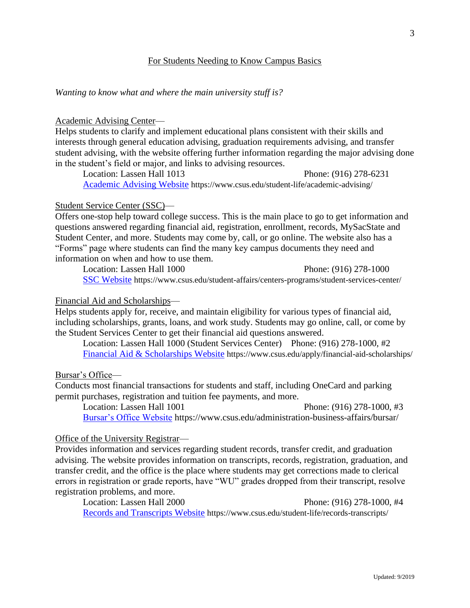# For Students Needing to Know Campus Basics

*Wanting to know what and where the main university stuff is?*

#### Academic Advising Center—

Helps students to clarify and implement educational plans consistent with their skills and interests through general education advising, graduation requirements advising, and transfer student advising, with the website offering further information regarding the major advising done in the student's field or major, and links to advising resources.

Location: Lassen Hall 1013 Phone: (916) 278-6231 [Academic Advising Website](https://www.csus.edu/student-life/academic-advising/) https://www.csus.edu/student-life/academic-advising/

## Student Service Center (SSC)—

Offers one-stop help toward college success. This is the main place to go to get information and questions answered regarding financial aid, registration, enrollment, records, MySacState and Student Center, and more. Students may come by, call, or go online. The website also has a "Forms" page where students can find the many key campus documents they need and information on when and how to use them.

Location: Lassen Hall 1000 Phone: (916) 278-1000 [SSC Website](https://www.csus.edu/student-affairs/centers-programs/student-services-center/) https://www.csus.edu/student-affairs/centers-programs/student-services-center/

## Financial Aid and Scholarships—

Helps students apply for, receive, and maintain eligibility for various types of financial aid, including scholarships, grants, loans, and work study. Students may go online, call, or come by the Student Services Center to get their financial aid questions answered.

Location: Lassen Hall 1000 (Student Services Center) Phone: (916) 278-1000, #2 [Financial Aid & Scholarships Website](https://www.csus.edu/apply/financial-aid-scholarships/) https://www.csus.edu/apply/financial-aid-scholarships/

Bursar's Office—

Conducts most financial transactions for students and staff, including OneCard and parking permit purchases, registration and tuition fee payments, and more.

Location: Lassen Hall 1001 Phone: (916) 278-1000, #3 [Bursar's Office Website](https://www.csus.edu/administration-business-affairs/bursar/) https://www.csus.edu/administration-business-affairs/bursar/

# Office of the University Registrar—

Provides information and services regarding student records, transfer credit, and graduation advising. The website provides information on transcripts, records, registration, graduation, and transfer credit, and the office is the place where students may get corrections made to clerical errors in registration or grade reports, have "WU" grades dropped from their transcript, resolve registration problems, and more.

Location: Lassen Hall 2000 Phone: (916) 278-1000, #4 [Records and Transcripts Website](https://www.csus.edu/student-life/records-transcripts/) https://www.csus.edu/student-life/records-transcripts/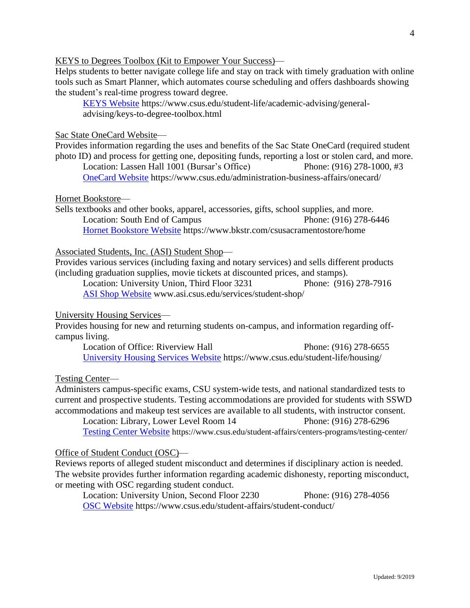#### KEYS to Degrees Toolbox (Kit to Empower Your Success)—

Helps students to better navigate college life and stay on track with timely graduation with online tools such as Smart Planner, which automates course scheduling and offers dashboards showing the student's real-time progress toward degree.

[KEYS Website](https://www.csus.edu/student-life/academic-advising/general-advising/keys-to-degree-toolbox.html) https://www.csus.edu/student-life/academic-advising/generaladvising/keys-to-degree-toolbox.html

#### Sac State OneCard Website—

Provides information regarding the uses and benefits of the Sac State OneCard (required student photo ID) and process for getting one, depositing funds, reporting a lost or stolen card, and more. Location: Lassen Hall 1001 (Bursar's Office) Phone: (916) 278-1000, #3

[OneCard Website](https://www.csus.edu/administration-business-affairs/onecard/) https://www.csus.edu/administration-business-affairs/onecard/

#### Hornet Bookstore—

Sells textbooks and other books, apparel, accessories, gifts, school supplies, and more. Location: South End of Campus Phone: (916) 278-6446 [Hornet Bookstore Website](https://www.bkstr.com/csusacramentostore/home) https://www.bkstr.com/csusacramentostore/home

Associated Students, Inc. (ASI) Student Shop—

Provides various services (including faxing and notary services) and sells different products (including graduation supplies, movie tickets at discounted prices, and stamps).

Location: University Union, Third Floor 3231 Phone: (916) 278-7916 [ASI Shop Website](http://www.asi.csus.edu/services/student-shop/) www.asi.csus.edu/services/student-shop/

## University Housing Services—

Provides housing for new and returning students on-campus, and information regarding offcampus living.

Location of Office: Riverview Hall Phone: (916) 278-6655 [University Housing Services Website](https://www.csus.edu/student-life/housing/) https://www.csus.edu/student-life/housing/

Testing Center—

Administers campus-specific exams, CSU system-wide tests, and national standardized tests to current and prospective students. Testing accommodations are provided for students with SSWD accommodations and makeup test services are available to all students, with instructor consent.

Location: Library, Lower Level Room 14 Phone: (916) 278-6296 [Testing Center Website](https://www.csus.edu/student-affairs/centers-programs/testing-center/) https://www.csus.edu/student-affairs/centers-programs/testing-center/

#### Office of Student Conduct (OSC)—

Reviews reports of alleged student misconduct and determines if disciplinary action is needed. The website provides further information regarding academic dishonesty, reporting misconduct, or meeting with OSC regarding student conduct.

Location: University Union, Second Floor 2230 Phone: (916) 278-4056 [OSC Website](https://www.csus.edu/student-affairs/student-conduct/) https://www.csus.edu/student-affairs/student-conduct/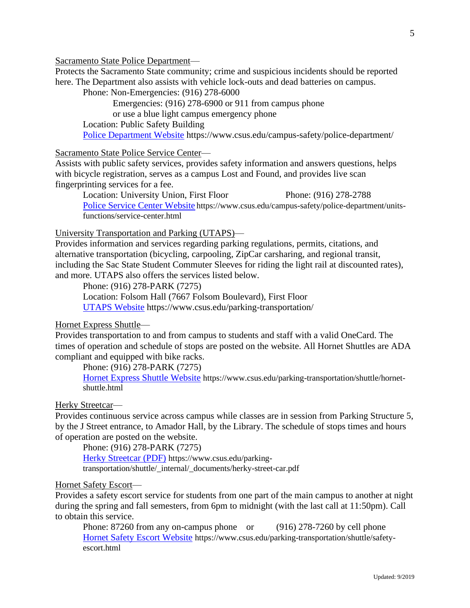Sacramento State Police Department—

Protects the Sacramento State community; crime and suspicious incidents should be reported here. The Department also assists with vehicle lock-outs and dead batteries on campus.

Phone: Non-Emergencies: (916) 278-6000

Emergencies: (916) 278-6900 or 911 from campus phone or use a blue light campus emergency phone

Location: Public Safety Building

[Police Department Website](https://www.csus.edu/campus-safety/police-department/) https://www.csus.edu/campus-safety/police-department/

Sacramento State Police Service Center—

Assists with public safety services, provides safety information and answers questions, helps with bicycle registration, serves as a campus Lost and Found, and provides live scan fingerprinting services for a fee.

Location: University Union, First Floor Phone: (916) 278-2788 [Police Service Center Website](https://www.csus.edu/campus-safety/police-department/units-functions/service-center.html) https://www.csus.edu/campus-safety/police-department/unitsfunctions/service-center.html

University Transportation and Parking (UTAPS)—

Provides information and services regarding parking regulations, permits, citations, and alternative transportation (bicycling, carpooling, ZipCar carsharing, and regional transit, including the Sac State Student Commuter Sleeves for riding the light rail at discounted rates), and more. UTAPS also offers the services listed below.

Phone: (916) 278-PARK (7275)

Location: Folsom Hall (7667 Folsom Boulevard), First Floor

[UTAPS Website](https://www.csus.edu/parking-transportation/) https://www.csus.edu/parking-transportation/

Hornet Express Shuttle—

Provides transportation to and from campus to students and staff with a valid OneCard. The times of operation and schedule of stops are posted on the website. All Hornet Shuttles are ADA compliant and equipped with bike racks.

Phone: (916) 278-PARK (7275)

[Hornet Express Shuttle Website](https://www.csus.edu/parking-transportation/shuttle/hornet-shuttle.html) https://www.csus.edu/parking-transportation/shuttle/hornetshuttle.html

#### Herky Streetcar-

Provides continuous service across campus while classes are in session from Parking Structure 5, by the J Street entrance, to Amador Hall, by the Library. The schedule of stops times and hours of operation are posted on the website.

Phone: (916) 278-PARK (7275) [Herky Streetcar \(PDF\)](https://www.csus.edu/parking-transportation/shuttle/_internal/_documents/herky-street-car.pdf) https://www.csus.edu/parkingtransportation/shuttle/\_internal/\_documents/herky-street-car.pdf

# Hornet Safety Escort—

Provides a safety escort service for students from one part of the main campus to another at night during the spring and fall semesters, from 6pm to midnight (with the last call at 11:50pm). Call to obtain this service.

Phone: 87260 from any on-campus phone or (916) 278-7260 by cell phone [Hornet Safety Escort Website](https://www.csus.edu/parking-transportation/shuttle/safety-escort.html) https://www.csus.edu/parking-transportation/shuttle/safetyescort.html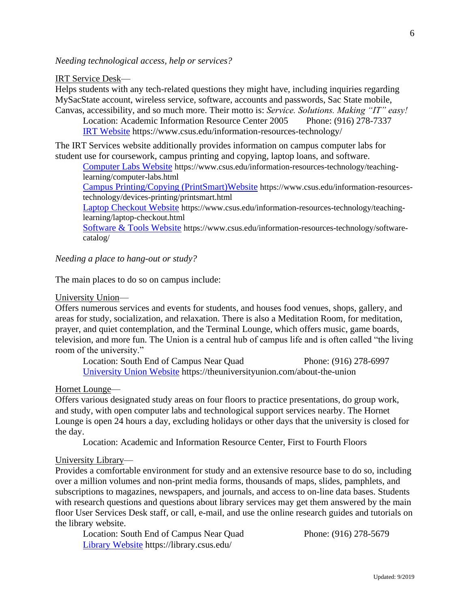*Needing technological access, help or services?*

IRT Service Desk—

Helps students with any tech-related questions they might have, including inquiries regarding MySacState account, wireless service, software, accounts and passwords, Sac State mobile, Canvas, accessibility, and so much more. Their motto is: *Service. Solutions. Making "IT" easy!*

Location: Academic Information Resource Center 2005 Phone: (916) 278-7337 [IRT Website](file:///F:/Student%20Services/CSUS%20Student%20Resources/IRT%20Website:) https://www.csus.edu/information-resources-technology/

The IRT Services website additionally provides information on campus computer labs for student use for coursework, campus printing and copying, laptop loans, and software.

[Computer Labs Website](https://www.csus.edu/information-resources-technology/teaching-learning/computer-labs.html) https://www.csus.edu/information-resources-technology/teachinglearning/computer-labs.html

[Campus Printing/Copying \(PrintSmart\)Website](https://www.csus.edu/information-resources-technology/devices-printing/printsmart.html) https://www.csus.edu/information-resourcestechnology/devices-printing/printsmart.html

[Laptop Checkout Website](https://www.csus.edu/information-resources-technology/teaching-learning/laptop-checkout.html) https://www.csus.edu/information-resources-technology/teachinglearning/laptop-checkout.html

[Software & Tools Website](https://www.csus.edu/information-resources-technology/software-catalog/) https://www.csus.edu/information-resources-technology/softwarecatalog/

*Needing a place to hang-out or study?* 

The main places to do so on campus include:

University Union—

Offers numerous services and events for students, and houses food venues, shops, gallery, and areas for study, socialization, and relaxation. There is also a Meditation Room, for meditation, prayer, and quiet contemplation, and the Terminal Lounge, which offers music, game boards, television, and more fun. The Union is a central hub of campus life and is often called "the living room of the university."

Location: South End of Campus Near Quad Phone: (916) 278-6997 [University Union Website](https://theuniversityunion.com/about-the-union) https://theuniversityunion.com/about-the-union

Hornet Lounge—

Offers various designated study areas on four floors to practice presentations, do group work, and study, with open computer labs and technological support services nearby. The Hornet Lounge is open 24 hours a day, excluding holidays or other days that the university is closed for the day.

Location: Academic and Information Resource Center, First to Fourth Floors

University Library—

Provides a comfortable environment for study and an extensive resource base to do so, including over a million volumes and non-print media forms, thousands of maps, slides, pamphlets, and subscriptions to magazines, newspapers, and journals, and access to on-line data bases. Students with research questions and questions about library services may get them answered by the main floor User Services Desk staff, or call, e-mail, and use the online research guides and tutorials on the library website.

Location: South End of Campus Near Quad Phone: (916) 278-5679 [Library Website](https://library.csus.edu/) https://library.csus.edu/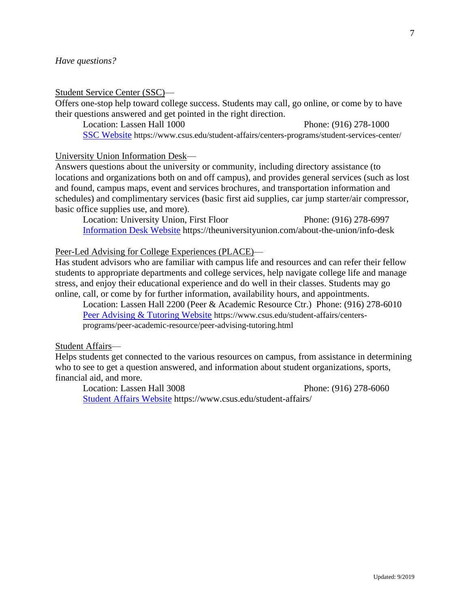#### Student Service Center (SSC)—

Offers one-stop help toward college success. Students may call, go online, or come by to have their questions answered and get pointed in the right direction.

Location: Lassen Hall 1000 Phone: (916) 278-1000 [SSC Website](https://www.csus.edu/student-affairs/centers-programs/student-services-center/) https://www.csus.edu/student-affairs/centers-programs/student-services-center/

University Union Information Desk—

Answers questions about the university or community, including directory assistance (to locations and organizations both on and off campus), and provides general services (such as lost and found, campus maps, event and services brochures, and transportation information and schedules) and complimentary services (basic first aid supplies, car jump starter/air compressor, basic office supplies use, and more).

Location: University Union, First Floor Phone: (916) 278-6997 [Information Desk Website](https://theuniversityunion.com/about-the-union/info-desk) https://theuniversityunion.com/about-the-union/info-desk

Peer-Led Advising for College Experiences (PLACE)—

Has student advisors who are familiar with campus life and resources and can refer their fellow students to appropriate departments and college services, help navigate college life and manage stress, and enjoy their educational experience and do well in their classes. Students may go online, call, or come by for further information, availability hours, and appointments.

Location: Lassen Hall 2200 (Peer & Academic Resource Ctr.) Phone: (916) 278-6010 [Peer Advising & Tutoring Website](https://www.csus.edu/student-affairs/centers-programs/peer-academic-resource/peer-advising-tutoring.html) https://www.csus.edu/student-affairs/centersprograms/peer-academic-resource/peer-advising-tutoring.html

# Student Affairs—

Helps students get connected to the various resources on campus, from assistance in determining who to see to get a question answered, and information about student organizations, sports, financial aid, and more.

Location: Lassen Hall 3008 Phone: (916) 278-6060 [Student Affairs Website](https://www.csus.edu/student-affairs/) https://www.csus.edu/student-affairs/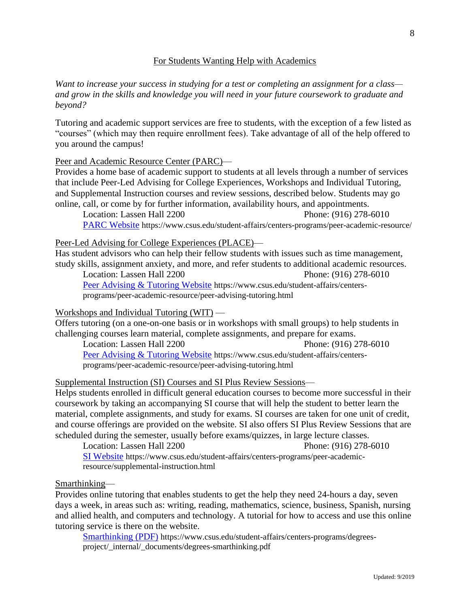# For Students Wanting Help with Academics

*Want to increase your success in studying for a test or completing an assignment for a class and grow in the skills and knowledge you will need in your future coursework to graduate and beyond?*

Tutoring and academic support services are free to students, with the exception of a few listed as "courses" (which may then require enrollment fees). Take advantage of all of the help offered to you around the campus!

Peer and Academic Resource Center (PARC)—

Provides a home base of academic support to students at all levels through a number of services that include Peer-Led Advising for College Experiences, Workshops and Individual Tutoring, and Supplemental Instruction courses and review sessions, described below. Students may go online, call, or come by for further information, availability hours, and appointments.

Location: Lassen Hall 2200 Phone: (916) 278-6010 [PARC Website](https://www.csus.edu/student-affairs/centers-programs/peer-academic-resource/) https://www.csus.edu/student-affairs/centers-programs/peer-academic-resource/

Peer-Led Advising for College Experiences (PLACE)—

Has student advisors who can help their fellow students with issues such as time management, study skills, assignment anxiety, and more, and refer students to additional academic resources. Location: Lassen Hall 2200 Phone: (916) 278-6010

[Peer Advising & Tutoring Website](https://www.csus.edu/student-affairs/centers-programs/peer-academic-resource/peer-advising-tutoring.html) https://www.csus.edu/student-affairs/centersprograms/peer-academic-resource/peer-advising-tutoring.html

Workshops and Individual Tutoring (WIT) —

Offers tutoring (on a one-on-one basis or in workshops with small groups) to help students in challenging courses learn material, complete assignments, and prepare for exams.

Location: Lassen Hall 2200 Phone: (916) 278-6010 [Peer Advising & Tutoring Website](https://www.csus.edu/student-affairs/centers-programs/peer-academic-resource/peer-advising-tutoring.html) https://www.csus.edu/student-affairs/centersprograms/peer-academic-resource/peer-advising-tutoring.html

Supplemental Instruction (SI) Courses and SI Plus Review Sessions—

Helps students enrolled in difficult general education courses to become more successful in their coursework by taking an accompanying SI course that will help the student to better learn the material, complete assignments, and study for exams. SI courses are taken for one unit of credit, and course offerings are provided on the website. SI also offers SI Plus Review Sessions that are scheduled during the semester, usually before exams/quizzes, in large lecture classes.

Location: Lassen Hall 2200 Phone: (916) 278-6010 [SI Website](https://www.csus.edu/student-affairs/centers-programs/peer-academic-resource/supplemental-instruction.html) https://www.csus.edu/student-affairs/centers-programs/peer-academicresource/supplemental-instruction.html

#### Smarthinking—

Provides online tutoring that enables students to get the help they need 24-hours a day, seven days a week, in areas such as: writing, reading, mathematics, science, business, Spanish, nursing and allied health, and computers and technology. A tutorial for how to access and use this online tutoring service is there on the website.

[Smarthinking \(PDF\)](https://www.csus.edu/student-affairs/centers-programs/degrees-project/_internal/_documents/degrees-smarthinking.pdf) https://www.csus.edu/student-affairs/centers-programs/degreesproject/\_internal/\_documents/degrees-smarthinking.pdf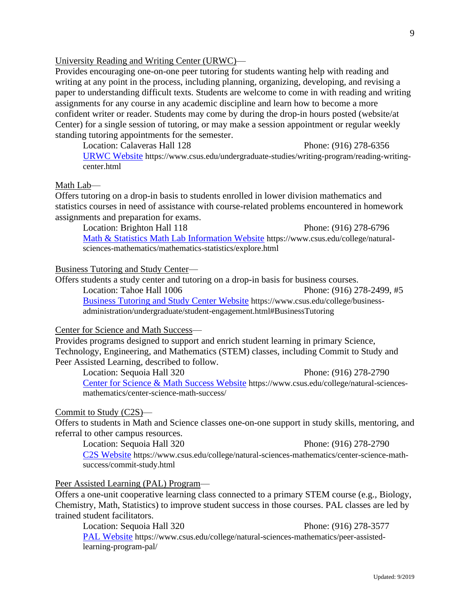Provides programs designed to support and enrich student learning in primary Science, Technology, Engineering, and Mathematics (STEM) classes, including Commit to Study and Peer Assisted Learning, described to follow.

Location: Sequoia Hall 320 Phone: (916) 278-2790 [Center for Science & Math Success Website](https://www.csus.edu/college/natural-sciences-mathematics/center-science-math-success/) https://www.csus.edu/college/natural-sciencesmathematics/center-science-math-success/

#### Commit to Study (C2S)—

Offers to students in Math and Science classes one-on-one support in study skills, mentoring, and referral to other campus resources.

Location: Sequoia Hall 320 Phone: (916) 278-2790 [C2S Website](https://www.csus.edu/college/natural-sciences-mathematics/center-science-math-success/commit-study.html) https://www.csus.edu/college/natural-sciences-mathematics/center-science-mathsuccess/commit-study.html

Peer Assisted Learning (PAL) Program—

Offers a one-unit cooperative learning class connected to a primary STEM course (e.g., Biology, Chemistry, Math, Statistics) to improve student success in those courses. PAL classes are led by trained student facilitators.

Location: Sequoia Hall 320 Phone: (916) 278-3577 [PAL Website](https://www.csus.edu/college/natural-sciences-mathematics/peer-assisted-learning-program-pal/) https://www.csus.edu/college/natural-sciences-mathematics/peer-assistedlearning-program-pal/

# University Reading and Writing Center (URWC)—

Provides encouraging one-on-one peer tutoring for students wanting help with reading and writing at any point in the process, including planning, organizing, developing, and revising a paper to understanding difficult texts. Students are welcome to come in with reading and writing assignments for any course in any academic discipline and learn how to become a more confident writer or reader. Students may come by during the drop-in hours posted (website/at Center) for a single session of tutoring, or may make a session appointment or regular weekly standing tutoring appointments for the semester.

Location: Calaveras Hall 128 Phone: (916) 278-6356 [URWC Website](https://www.csus.edu/undergraduate-studies/writing-program/reading-writing-center.html) https://www.csus.edu/undergraduate-studies/writing-program/reading-writingcenter.html

#### Math Lab—

Offers tutoring on a drop-in basis to students enrolled in lower division mathematics and statistics courses in need of assistance with course-related problems encountered in homework assignments and preparation for exams.

Location: Brighton Hall 118 Phone: (916) 278-6796 [Math & Statistics Math Lab Information Website](https://www.csus.edu/college/natural-sciences-mathematics/mathematics-statistics/explore.html) https://www.csus.edu/college/naturalsciences-mathematics/mathematics-statistics/explore.html

#### Business Tutoring and Study Center—

Offers students a study center and tutoring on a drop-in basis for business courses.

Location: Tahoe Hall 1006 **Phone: (916) 278-2499**, #5 [Business Tutoring and Study Center Website](https://www.csus.edu/college/business-administration/undergraduate/student-engagement.html#BusinessTutoring) https://www.csus.edu/college/businessadministration/undergraduate/student-engagement.html#BusinessTutoring

#### Center for Science and Math Success—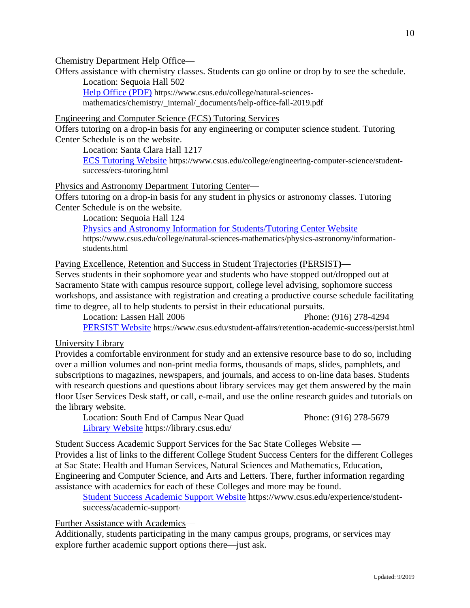## Chemistry Department Help Office—

Offers assistance with chemistry classes. Students can go online or drop by to see the schedule. Location: Sequoia Hall 502

[Help Office \(PDF\)](https://www.csus.edu/college/natural-sciences-mathematics/chemistry/_internal/_documents/help-office-fall-2019.pdf) https://www.csus.edu/college/natural-sciencesmathematics/chemistry/\_internal/\_documents/help-office-fall-2019.pdf

Engineering and Computer Science (ECS) Tutoring Services—

Offers tutoring on a drop-in basis for any engineering or computer science student. Tutoring Center Schedule is on the website.

Location: Santa Clara Hall 1217

[ECS Tutoring Website](https://www.csus.edu/college/engineering-computer-science/student-success/ecs-tutoring.html) https://www.csus.edu/college/engineering-computer-science/studentsuccess/ecs-tutoring.html

Physics and Astronomy Department Tutoring Center—

Offers tutoring on a drop-in basis for any student in physics or astronomy classes. Tutoring Center Schedule is on the website.

Location: Sequoia Hall 124

[Physics and Astronomy Information for Students/Tutoring Center Website](https://www.csus.edu/college/natural-sciences-mathematics/physics-astronomy/information-students.html) https://www.csus.edu/college/natural-sciences-mathematics/physics-astronomy/informationstudents.html

Paving Excellence, Retention and Success in Student Trajectories **(**PERSIST**)—**

Serves students in their sophomore year and students who have stopped out/dropped out at Sacramento State with campus resource support, college level advising, sophomore success workshops, and assistance with registration and creating a productive course schedule facilitating time to degree, all to help students to persist in their educational pursuits.

Location: Lassen Hall 2006 Phone: (916) 278-4294 [PERSIST Website](https://www.csus.edu/student-affairs/retention-academic-success/persist.html) https://www.csus.edu/student-affairs/retention-academic-success/persist.html

University Library—

Provides a comfortable environment for study and an extensive resource base to do so, including over a million volumes and non-print media forms, thousands of maps, slides, pamphlets, and subscriptions to magazines, newspapers, and journals, and access to on-line data bases. Students with research questions and questions about library services may get them answered by the main floor User Services Desk staff, or call, e-mail, and use the online research guides and tutorials on the library website.

Location: South End of Campus Near Quad Phone: (916) 278-5679 [Library Website](https://library.csus.edu/) https://library.csus.edu/

Student Success Academic Support Services for the Sac State Colleges Website —

Provides a list of links to the different College Student Success Centers for the different Colleges at Sac State: Health and Human Services, Natural Sciences and Mathematics, Education, Engineering and Computer Science, and Arts and Letters. There, further information regarding assistance with academics for each of these Colleges and more may be found.

[Student Success Academic Support Website](https://www.csus.edu/experience/student-success/academic-support/) https://www.csus.edu/experience/studentsuccess/academic-support/

Further Assistance with Academics—

Additionally, students participating in the many campus groups, programs, or services may explore further academic support options there—just ask.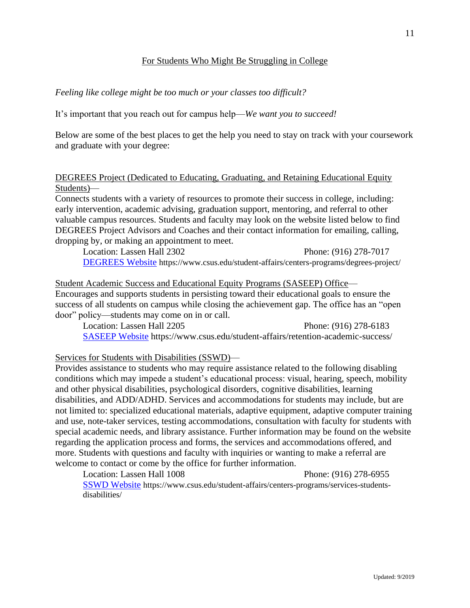# For Students Who Might Be Struggling in College

# *Feeling like college might be too much or your classes too difficult?*

It's important that you reach out for campus help—*We want you to succeed!*

Below are some of the best places to get the help you need to stay on track with your coursework and graduate with your degree:

# DEGREES Project (Dedicated to Educating, Graduating, and Retaining Educational Equity Students)—

Connects students with a variety of resources to promote their success in college, including: early intervention, academic advising, graduation support, mentoring, and referral to other valuable campus resources. Students and faculty may look on the website listed below to find DEGREES Project Advisors and Coaches and their contact information for emailing, calling, dropping by, or making an appointment to meet.

Location: Lassen Hall 2302 Phone: (916) 278-7017 [DEGREES Website](https://www.csus.edu/student-affairs/centers-programs/degrees-project/) https://www.csus.edu/student-affairs/centers-programs/degrees-project/

# Student Academic Success and Educational Equity Programs (SASEEP) Office— Encourages and supports students in persisting toward their educational goals to ensure the success of all students on campus while closing the achievement gap. The office has an "open door" policy—students may come on in or call.

Location: Lassen Hall 2205 Phone: (916) 278-6183 [SASEEP Website](https://www.csus.edu/student-affairs/retention-academic-success/) https://www.csus.edu/student-affairs/retention-academic-success/

# Services for Students with Disabilities (SSWD)—

Provides assistance to students who may require assistance related to the following disabling conditions which may impede a student's educational process: visual, hearing, speech, mobility and other physical disabilities, psychological disorders, cognitive disabilities, learning disabilities, and ADD/ADHD. Services and accommodations for students may include, but are not limited to: specialized educational materials, adaptive equipment, adaptive computer training and use, note-taker services, testing accommodations, consultation with faculty for students with special academic needs, and library assistance. Further information may be found on the website regarding the application process and forms, the services and accommodations offered, and more. Students with questions and faculty with inquiries or wanting to make a referral are welcome to contact or come by the office for further information.

Location: Lassen Hall 1008 Phone: (916) 278-6955 [SSWD Website](https://www.csus.edu/student-affairs/centers-programs/services-students-disabilities/) https://www.csus.edu/student-affairs/centers-programs/services-studentsdisabilities/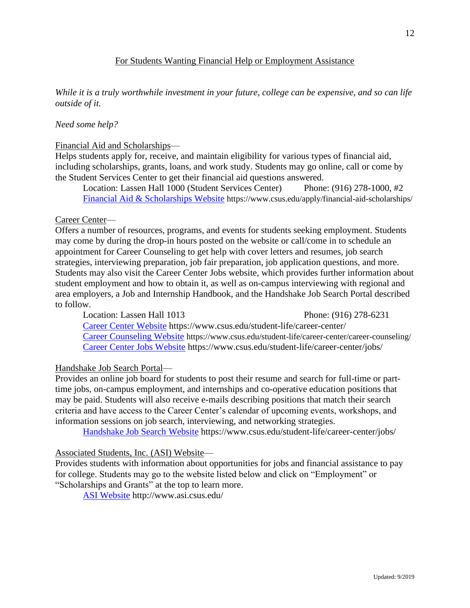# For Students Wanting Financial Help or Employment Assistance

*While it is a truly worthwhile investment in your future, college can be expensive, and so can life outside of it.*

## *Need some help?*

#### Financial Aid and Scholarships—

Helps students apply for, receive, and maintain eligibility for various types of financial aid, including scholarships, grants, loans, and work study. Students may go online, call or come by the Student Services Center to get their financial aid questions answered.

Location: Lassen Hall 1000 (Student Services Center) Phone: (916) 278-1000, #2 [Financial Aid & Scholarships Website](https://www.csus.edu/apply/financial-aid-scholarships/) https://www.csus.edu/apply/financial-aid-scholarships/

#### Career Center—

Offers a number of resources, programs, and events for students seeking employment. Students may come by during the drop-in hours posted on the website or call/come in to schedule an appointment for Career Counseling to get help with cover letters and resumes, job search strategies, interviewing preparation, job fair preparation, job application questions, and more. Students may also visit the Career Center Jobs website, which provides further information about student employment and how to obtain it, as well as on-campus interviewing with regional and area employers, a Job and Internship Handbook, and the Handshake Job Search Portal described to follow.

Location: Lassen Hall 1013 Phone: (916) 278-6231 [Career Center Website](https://www.csus.edu/student-life/career-center/) https://www.csus.edu/student-life/career-center/ [Career Counseling Website](https://www.csus.edu/student-life/career-center/career-counseling/) https://www.csus.edu/student-life/career-center/career-counseling/ [Career Center Jobs Website](https://www.csus.edu/student-life/career-center/jobs/) https://www.csus.edu/student-life/career-center/jobs/

#### Handshake Job Search Portal—

Provides an online job board for students to post their resume and search for full-time or parttime jobs, on-campus employment, and internships and co-operative education positions that may be paid. Students will also receive e-mails describing positions that match their search criteria and have access to the Career Center's calendar of upcoming events, workshops, and information sessions on job search, interviewing, and networking strategies.

[Handshake Job Search Website](file:///E:/Student%20Services/CSUS%20Student%20Resources/Handshake%20Job%20Search%20Website:) https://www.csus.edu/student-life/career-center/jobs/

#### Associated Students, Inc. (ASI) Website—

Provides students with information about opportunities for jobs and financial assistance to pay for college. Students may go to the website listed below and click on "Employment" or "Scholarships and Grants" at the top to learn more.

[ASI Website](http://www.asi.csus.edu/) http://www.asi.csus.edu/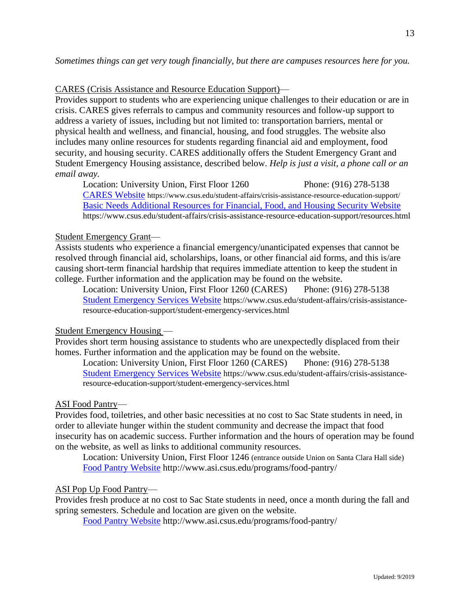# CARES (Crisis Assistance and Resource Education Support)—

Provides support to students who are experiencing unique challenges to their education or are in crisis. CARES gives referrals to campus and community resources and follow-up support to address a variety of issues, including but not limited to: transportation barriers, mental or physical health and wellness, and financial, housing, and food struggles. The website also includes many online resources for students regarding financial aid and employment, food security, and housing security. CARES additionally offers the Student Emergency Grant and Student Emergency Housing assistance, described below. *Help is just a visit, a phone call or an email away.*

Location: University Union, First Floor 1260 Phone: (916) 278-5138 [CARES Website](https://www.csus.edu/student-affairs/crisis-assistance-resource-education-support/) https://www.csus.edu/student-affairs/crisis-assistance-resource-education-support/ Basic Needs Additional [Resources for Financial, Food, and Housing Security](https://www.csus.edu/student-affairs/crisis-assistance-resource-education-support/resources.html) Website https://www.csus.edu/student-affairs/crisis-assistance-resource-education-support/resources.html

## Student Emergency Grant—

Assists students who experience a financial emergency/unanticipated expenses that cannot be resolved through financial aid, scholarships, loans, or other financial aid forms, and this is/are causing short-term financial hardship that requires immediate attention to keep the student in college. Further information and the application may be found on the website.

Location: University Union, First Floor 1260 (CARES) Phone: (916) 278-5138 [Student Emergency Services Website](https://www.csus.edu/student-affairs/crisis-assistance-resource-education-support/student-emergency-services.html) https://www.csus.edu/student-affairs/crisis-assistanceresource-education-support/student-emergency-services.html

# Student Emergency Housing —

Provides short term housing assistance to students who are unexpectedly displaced from their homes. Further information and the application may be found on the website.

Location: University Union, First Floor 1260 (CARES) Phone: (916) 278-5138 [Student Emergency Services Website](https://www.csus.edu/student-affairs/crisis-assistance-resource-education-support/student-emergency-services.html) https://www.csus.edu/student-affairs/crisis-assistanceresource-education-support/student-emergency-services.html

#### ASI Food Pantry—

Provides food, toiletries, and other basic necessities at no cost to Sac State students in need, in order to alleviate hunger within the student community and decrease the impact that food insecurity has on academic success. Further information and the hours of operation may be found on the website, as well as links to additional community resources.

Location: University Union, First Floor 1246 (entrance outside Union on Santa Clara Hall side) [Food Pantry](http://www.asi.csus.edu/programs/food-pantry/) Website http://www.asi.csus.edu/programs/food-pantry/

# ASI Pop Up Food Pantry—

Provides fresh produce at no cost to Sac State students in need, once a month during the fall and spring semesters. Schedule and location are given on the website.

[Food Pantry Website](http://www.asi.csus.edu/programs/food-pantry/) http://www.asi.csus.edu/programs/food-pantry/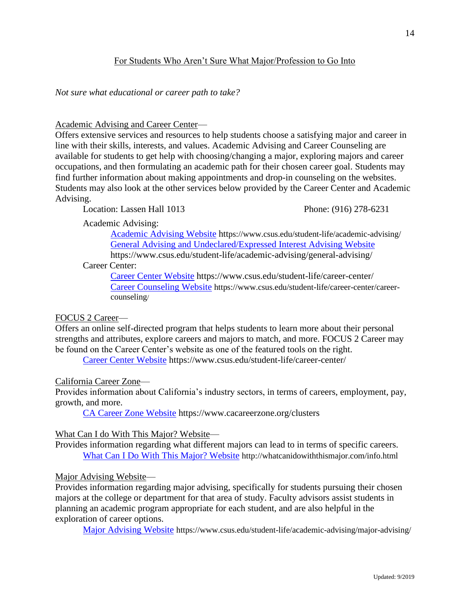# For Students Who Aren't Sure What Major/Profession to Go Into

*Not sure what educational or career path to take?*

## Academic Advising and Career Center—

Offers extensive services and resources to help students choose a satisfying major and career in line with their skills, interests, and values. Academic Advising and Career Counseling are available for students to get help with choosing/changing a major, exploring majors and career occupations, and then formulating an academic path for their chosen career goal. Students may find further information about making appointments and drop-in counseling on the websites. Students may also look at the other services below provided by the Career Center and Academic Advising.

Location: Lassen Hall 1013 Phone: (916) 278-6231

Academic Advising:

[Academic Advising Website](https://www.csus.edu/student-life/academic-advising/) https://www.csus.edu/student-life/academic-advising/ [General Advising and Undeclared/Expressed](https://www.csus.edu/student-life/academic-advising/general-advising/) Interest Advising Website https://www.csus.edu/student-life/academic-advising/general-advising/

Career Center:

[Career Center Website](https://www.csus.edu/student-life/career-center/) https://www.csus.edu/student-life/career-center/ [Career Counseling Website](https://www.csus.edu/student-life/career-center/career-counseling/) https://www.csus.edu/student-life/career-center/careercounseling/

#### FOCUS 2 Career—

Offers an online self-directed program that helps students to learn more about their personal strengths and attributes, explore careers and majors to match, and more. FOCUS 2 Career may be found on the Career Center's website as one of the featured tools on the right.

[Career Center Website](https://www.csus.edu/student-life/career-center/) https://www.csus.edu/student-life/career-center/

# California Career Zone—

Provides information about California's industry sectors, in terms of careers, employment, pay, growth, and more.

[CA Career Zone Website](https://www.cacareerzone.org/clusters) https://www.cacareerzone.org/clusters

# What Can I do With This Major? Website—

Provides information regarding what different majors can lead to in terms of specific careers. [What Can I Do With This Major?](http://whatcanidowiththismajor.com/info.html) Website http://whatcanidowiththismajor.com/info.html

# Major Advising Website—

Provides information regarding major advising, specifically for students pursuing their chosen majors at the college or department for that area of study. Faculty advisors assist students in planning an academic program appropriate for each student, and are also helpful in the exploration of career options.

[Major Advising Website](https://www.csus.edu/student-life/academic-advising/major-advising/) https://www.csus.edu/student-life/academic-advising/major-advising/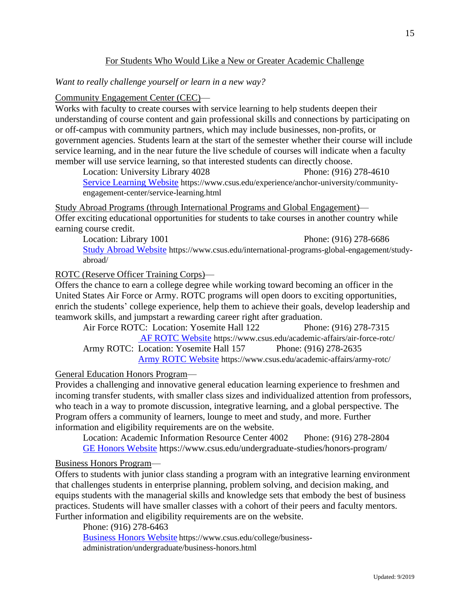# For Students Who Would Like a New or Greater Academic Challenge

*Want to really challenge yourself or learn in a new way?*

Community Engagement Center (CEC)—

Works with faculty to create courses with service learning to help students deepen their understanding of course content and gain professional skills and connections by participating on or off-campus with community partners, which may include businesses, non-profits, or government agencies. Students learn at the start of the semester whether their course will include service learning, and in the near future the live schedule of courses will indicate when a faculty member will use service learning, so that interested students can directly choose.

Location: University Library 4028 Phone: (916) 278-4610 [Service Learning Website](https://www.csus.edu/experience/anchor-university/community-engagement-center/service-learning.html) https://www.csus.edu/experience/anchor-university/communityengagement-center/service-learning.html

Study Abroad Programs (through International Programs and Global Engagement)— Offer exciting educational opportunities for students to take courses in another country while earning course credit.

Location: Library 1001 Phone: (916) 278-6686 [Study Abroad Website](https://www.csus.edu/international-programs-global-engagement/study-abroad/) https://www.csus.edu/international-programs-global-engagement/studyabroad/

## ROTC (Reserve Officer Training Corps)—

Offers the chance to earn a college degree while working toward becoming an officer in the United States Air Force or Army. ROTC programs will open doors to exciting opportunities, enrich the students' college experience, help them to achieve their goals, develop leadership and teamwork skills, and jumpstart a rewarding career right after graduation.

Air Force ROTC: Location: Yosemite Hall 122 Phone: (916) 278-7315 [AF ROTC Website](https://www.csus.edu/academic-affairs/air-force-rotc/) https://www.csus.edu/academic-affairs/air-force-rotc/ Army ROTC: Location: Yosemite Hall 157 Phone: (916) 278-2635 [Army ROTC Website](https://www.csus.edu/academic-affairs/army-rotc/) https://www.csus.edu/academic-affairs/army-rotc/

#### General Education Honors Program—

Provides a challenging and innovative general education learning experience to freshmen and incoming transfer students, with smaller class sizes and individualized attention from professors, who teach in a way to promote discussion, integrative learning, and a global perspective. The Program offers a community of learners, lounge to meet and study, and more. Further information and eligibility requirements are on the website.

Location: Academic Information Resource Center 4002 Phone: (916) 278-2804 [GE Honors Website](https://www.csus.edu/undergraduate-studies/honors-program/) https://www.csus.edu/undergraduate-studies/honors-program/

#### Business Honors Program—

Offers to students with junior class standing a program with an integrative learning environment that challenges students in enterprise planning, problem solving, and decision making, and equips students with the managerial skills and knowledge sets that embody the best of business practices. Students will have smaller classes with a cohort of their peers and faculty mentors. Further information and eligibility requirements are on the website.

Phone: (916) 278-6463

[Business Honors Website](https://www.csus.edu/college/business-administration/undergraduate/business-honors.html) https://www.csus.edu/college/businessadministration/undergraduate/business-honors.html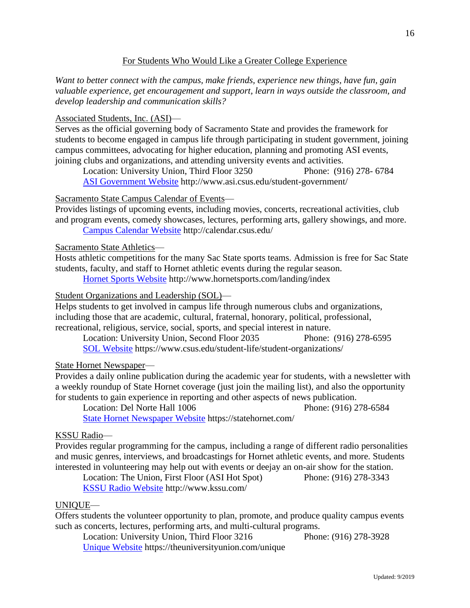# For Students Who Would Like a Greater College Experience

*Want to better connect with the campus, make friends, experience new things, have fun, gain valuable experience, get encouragement and support, learn in ways outside the classroom, and develop leadership and communication skills?* 

# Associated Students, Inc. (ASI)—

Serves as the official governing body of Sacramento State and provides the framework for students to become engaged in campus life through participating in student government, joining campus committees, advocating for higher education, planning and promoting ASI events, joining clubs and organizations, and attending university events and activities.

Location: University Union, Third Floor 3250 Phone: (916) 278- 6784 [ASI Government Website](http://www.asi.csus.edu/student-government/) http://www.asi.csus.edu/student-government/

# Sacramento State Campus Calendar of Events—

Provides listings of upcoming events, including movies, concerts, recreational activities, club and program events, comedy showcases, lectures, performing arts, gallery showings, and more. [Campus Calendar Website](http://calendar.csus.edu/) http://calendar.csus.edu/

## Sacramento State Athletics—

Hosts athletic competitions for the many Sac State sports teams. Admission is free for Sac State students, faculty, and staff to Hornet athletic events during the regular season.

[Hornet Sports Website](file:///F:/Student%20Services/CSUS%20Student%20Resources/Hornet%20Sports%20Website:) http://www.hornetsports.com/landing/index

# Student Organizations and Leadership (SOL)—

Helps students to get involved in campus life through numerous clubs and organizations, including those that are academic, cultural, fraternal, honorary, political, professional, recreational, religious, service, social, sports, and special interest in nature.

Location: University Union, Second Floor 2035 Phone: (916) 278-6595 [SOL Website](https://www.csus.edu/student-life/student-organizations/) https://www.csus.edu/student-life/student-organizations/

# State Hornet Newspaper—

Provides a daily online publication during the academic year for students, with a newsletter with a weekly roundup of State Hornet coverage (just join the mailing list), and also the opportunity for students to gain experience in reporting and other aspects of news publication.

Location: Del Norte Hall 1006 Phone: (916) 278-6584 [State Hornet Newspaper Website](https://statehornet.com/) https://statehornet.com/

# KSSU Radio—

Provides regular programming for the campus, including a range of different radio personalities and music genres, interviews, and broadcastings for Hornet athletic events, and more. Students interested in volunteering may help out with events or deejay an on-air show for the station.

Location: The Union, First Floor (ASI Hot Spot) Phone: (916) 278-3343 [KSSU Radio Website](http://www.kssu.com/) http://www.kssu.com/

# UNIQUE—

Offers students the volunteer opportunity to plan, promote, and produce quality campus events such as concerts, lectures, performing arts, and multi-cultural programs.

Location: University Union, Third Floor 3216 Phone: (916) 278-3928 [Unique Website](https://theuniversityunion.com/unique) https://theuniversityunion.com/unique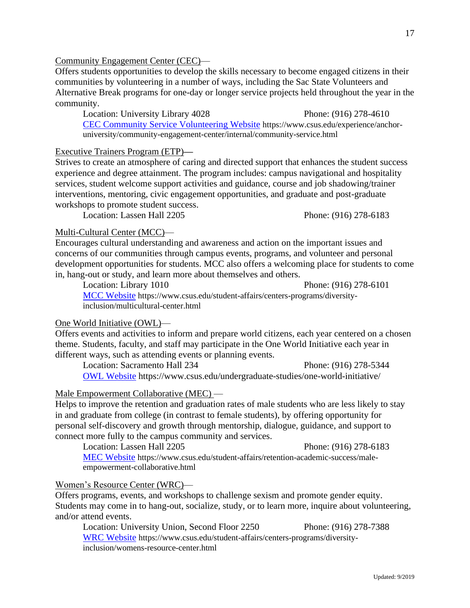# Community Engagement Center (CEC)—

Offers students opportunities to develop the skills necessary to become engaged citizens in their communities by volunteering in a number of ways, including the Sac State Volunteers and Alternative Break programs for one-day or longer service projects held throughout the year in the community.

Location: University Library 4028 Phone: (916) 278-4610 [CEC Community Service Volunteering Website](https://www.csus.edu/experience/anchor-university/community-engagement-center/internal/community-service.html) https://www.csus.edu/experience/anchoruniversity/community-engagement-center/internal/community-service.html

## Executive Trainers Program (ETP)**—**

Strives to create an atmosphere of caring and directed support that enhances the student success experience and degree attainment. The program includes: campus navigational and hospitality services, student welcome support activities and guidance, course and job shadowing/trainer interventions, mentoring, civic engagement opportunities, and graduate and post-graduate workshops to promote student success.

Location: Lassen Hall 2205 Phone: (916) 278-6183

# Multi-Cultural Center (MCC)—

Encourages cultural understanding and awareness and action on the important issues and concerns of our communities through campus events, programs, and volunteer and personal development opportunities for students. MCC also offers a welcoming place for students to come in, hang-out or study, and learn more about themselves and others.

Location: Library 1010 Phone: (916) 278-6101

[MCC Website](https://www.csus.edu/student-affairs/centers-programs/diversity-inclusion/multicultural-center.html) https://www.csus.edu/student-affairs/centers-programs/diversityinclusion/multicultural-center.html

# One World Initiative (OWL)—

Offers events and activities to inform and prepare world citizens, each year centered on a chosen theme. Students, faculty, and staff may participate in the One World Initiative each year in different ways, such as attending events or planning events.

Location: Sacramento Hall 234 Phone: (916) 278-5344 [OWL Website](https://www.csus.edu/undergraduate-studies/one-world-initiative/) https://www.csus.edu/undergraduate-studies/one-world-initiative/

# Male Empowerment Collaborative (MEC) —

Helps to improve the retention and graduation rates of male students who are less likely to stay in and graduate from college (in contrast to female students), by offering opportunity for personal self-discovery and growth through mentorship, dialogue, guidance, and support to connect more fully to the campus community and services.

Location: Lassen Hall 2205 Phone: (916) 278-6183 [MEC Website](https://www.csus.edu/student-affairs/retention-academic-success/male-empowerment-collaborative.html) https://www.csus.edu/student-affairs/retention-academic-success/maleempowerment-collaborative.html

# Women's Resource Center (WRC)—

Offers programs, events, and workshops to challenge sexism and promote gender equity. Students may come in to hang-out, socialize, study, or to learn more, inquire about volunteering, and/or attend events.

Location: University Union, Second Floor 2250 Phone: (916) 278-7388 [WRC Website](https://www.csus.edu/student-affairs/centers-programs/diversity-inclusion/womens-resource-center.html) https://www.csus.edu/student-affairs/centers-programs/diversityinclusion/womens-resource-center.html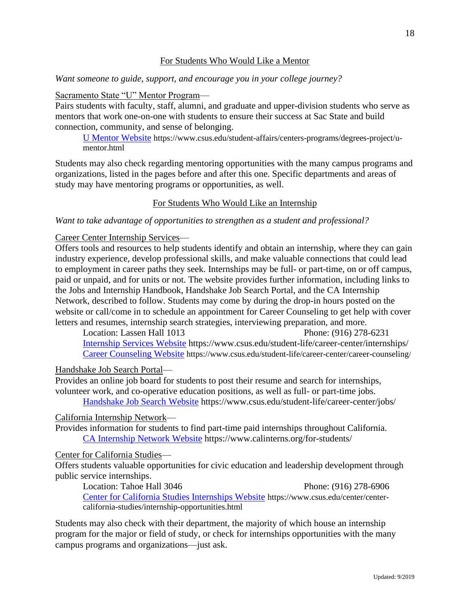# For Students Who Would Like a Mentor

*Want someone to guide, support, and encourage you in your college journey?*

Sacramento State "U" Mentor Program—

Pairs students with faculty, staff, alumni, and graduate and upper-division students who serve as mentors that work one-on-one with students to ensure their success at Sac State and build connection, community, and sense of belonging.

[U Mentor Website](https://www.csus.edu/student-affairs/centers-programs/degrees-project/u-mentor.html) https://www.csus.edu/student-affairs/centers-programs/degrees-project/umentor.html

Students may also check regarding mentoring opportunities with the many campus programs and organizations, listed in the pages before and after this one. Specific departments and areas of study may have mentoring programs or opportunities, as well.

# For Students Who Would Like an Internship

*Want to take advantage of opportunities to strengthen as a student and professional?*

Career Center Internship Services—

Offers tools and resources to help students identify and obtain an internship, where they can gain industry experience, develop professional skills, and make valuable connections that could lead to employment in career paths they seek. Internships may be full- or part-time, on or off campus, paid or unpaid, and for units or not. The website provides further information, including links to the Jobs and Internship Handbook, Handshake Job Search Portal, and the CA Internship Network, described to follow. Students may come by during the drop-in hours posted on the website or call/come in to schedule an appointment for Career Counseling to get help with cover letters and resumes, internship search strategies, interviewing preparation, and more.

Location: Lassen Hall 1013 Phone: (916) 278-6231 [Internship Services Website](https://www.csus.edu/student-life/career-center/internships/) https://www.csus.edu/student-life/career-center/internships/ [Career Counseling Website](https://www.csus.edu/student-life/career-center/career-counseling/) https://www.csus.edu/student-life/career-center/career-counseling/

Handshake Job Search Portal—

Provides an online job board for students to post their resume and search for internships, volunteer work, and co-operative education positions, as well as full- or part-time jobs. [Handshake Job Search Website](https://www.csus.edu/student-life/career-center/jobs/) https://www.csus.edu/student-life/career-center/jobs/

#### California Internship Network—

Provides information for students to find part-time paid internships throughout California. [CA Internship Network Website](https://www.calinterns.org/for-students/) https://www.calinterns.org/for-students/

#### Center for California Studies—

Offers students valuable opportunities for civic education and leadership development through public service internships.

Location: Tahoe Hall 3046 Phone: (916) 278-6906 [Center for California Studies Internships Website](https://www.csus.edu/center/center-california-studies/internship-opportunities.html) https://www.csus.edu/center/centercalifornia-studies/internship-opportunities.html

Students may also check with their department, the majority of which house an internship program for the major or field of study, or check for internships opportunities with the many campus programs and organizations—just ask.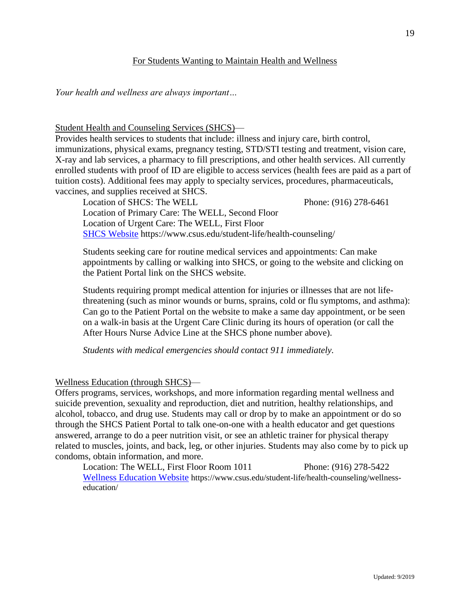# For Students Wanting to Maintain Health and Wellness

*Your health and wellness are always important…*

Student Health and Counseling Services (SHCS)—

Provides health services to students that include: illness and injury care, birth control, immunizations, physical exams, pregnancy testing, STD/STI testing and treatment, vision care, X-ray and lab services, a pharmacy to fill prescriptions, and other health services. All currently enrolled students with proof of ID are eligible to access services (health fees are paid as a part of tuition costs). Additional fees may apply to specialty services, procedures, pharmaceuticals, vaccines, and supplies received at SHCS.

Location of SHCS: The WELL Phone: (916) 278-6461 Location of Primary Care: The WELL, Second Floor Location of Urgent Care: The WELL, First Floor [SHCS Website](https://www.csus.edu/student-life/health-counseling/) https://www.csus.edu/student-life/health-counseling/

Students seeking care for routine medical services and appointments: Can make appointments by calling or walking into SHCS, or going to the website and clicking on the Patient Portal link on the SHCS website.

Students requiring prompt medical attention for injuries or illnesses that are not lifethreatening (such as minor wounds or burns, sprains, cold or flu symptoms, and asthma): Can go to the Patient Portal on the website to make a same day appointment, or be seen on a walk-in basis at the Urgent Care Clinic during its hours of operation (or call the After Hours Nurse Advice Line at the SHCS phone number above).

*Students with medical emergencies should contact 911 immediately.*

Wellness Education (through SHCS)—

Offers programs, services, workshops, and more information regarding mental wellness and suicide prevention, sexuality and reproduction, diet and nutrition, healthy relationships, and alcohol, tobacco, and drug use. Students may call or drop by to make an appointment or do so through the SHCS Patient Portal to talk one-on-one with a health educator and get questions answered, arrange to do a peer nutrition visit, or see an athletic trainer for physical therapy related to muscles, joints, and back, leg, or other injuries. Students may also come by to pick up condoms, obtain information, and more.

Location: The WELL, First Floor Room 1011 Phone: (916) 278-5422 [Wellness Education](https://www.csus.edu/student-life/health-counseling/wellness-education/) Website https://www.csus.edu/student-life/health-counseling/wellnesseducation/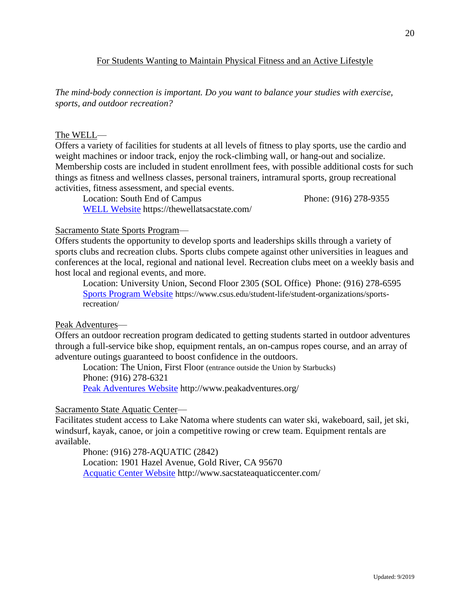# For Students Wanting to Maintain Physical Fitness and an Active Lifestyle

*The mind-body connection is important. Do you want to balance your studies with exercise, sports, and outdoor recreation?*

## The WELL—

Offers a variety of facilities for students at all levels of fitness to play sports, use the cardio and weight machines or indoor track, enjoy the rock-climbing wall, or hang-out and socialize. Membership costs are included in student enrollment fees, with possible additional costs for such things as fitness and wellness classes, personal trainers, intramural sports, group recreational activities, fitness assessment, and special events.

Location: South End of Campus Phone: (916) 278-9355 [WELL Website](https://thewellatsacstate.com/) https://thewellatsacstate.com/

## Sacramento State Sports Program—

Offers students the opportunity to develop sports and leaderships skills through a variety of sports clubs and recreation clubs. Sports clubs compete against other universities in leagues and conferences at the local, regional and national level. Recreation clubs meet on a weekly basis and host local and regional events, and more.

Location: University Union, Second Floor 2305 (SOL Office) Phone: (916) 278-6595 [Sports Program Website](https://www.csus.edu/student-life/student-organizations/sports-recreation/) https://www.csus.edu/student-life/student-organizations/sportsrecreation/

#### Peak Adventures—

Offers an outdoor recreation program dedicated to getting students started in outdoor adventures through a full-service bike shop, equipment rentals, an on-campus ropes course, and an array of adventure outings guaranteed to boost confidence in the outdoors.

Location: The Union, First Floor (entrance outside the Union by Starbucks) Phone: (916) 278-6321

[Peak Adventures Website](http://www.peakadventures.org/) http://www.peakadventures.org/

#### Sacramento State Aquatic Center—

Facilitates student access to Lake Natoma where students can water ski, wakeboard, sail, jet ski, windsurf, kayak, canoe, or join a competitive rowing or crew team. Equipment rentals are available.

Phone: (916) 278-AQUATIC (2842) Location: 1901 Hazel Avenue, Gold River, CA 95670 [Acquatic Center Website](http://www.sacstateaquaticcenter.com/) http://www.sacstateaquaticcenter.com/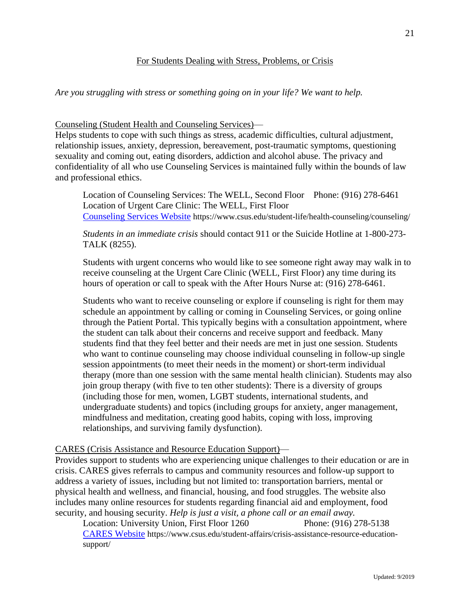# For Students Dealing with Stress, Problems, or Crisis

*Are you struggling with stress or something going on in your life? We want to help.*

## Counseling (Student Health and Counseling Services)—

Helps students to cope with such things as stress, academic difficulties, cultural adjustment, relationship issues, anxiety, depression, bereavement, post-traumatic symptoms, questioning sexuality and coming out, eating disorders, addiction and alcohol abuse. The privacy and confidentiality of all who use Counseling Services is maintained fully within the bounds of law and professional ethics.

Location of Counseling Services: The WELL, Second Floor Phone: (916) 278-6461 Location of Urgent Care Clinic: The WELL, First Floor [Counseling Services Website](https://www.csus.edu/student-life/health-counseling/counseling/) https://www.csus.edu/student-life/health-counseling/counseling/

*Students in an immediate crisis* should contact 911 or the Suicide Hotline at 1-800-273- TALK (8255).

Students with urgent concerns who would like to see someone right away may walk in to receive counseling at the Urgent Care Clinic (WELL, First Floor) any time during its hours of operation or call to speak with the After Hours Nurse at: (916) 278-6461.

Students who want to receive counseling or explore if counseling is right for them may schedule an appointment by calling or coming in Counseling Services, or going online through the Patient Portal. This typically begins with a consultation appointment, where the student can talk about their concerns and receive support and feedback. Many students find that they feel better and their needs are met in just one session. Students who want to continue counseling may choose individual counseling in follow-up single session appointments (to meet their needs in the moment) or short-term individual therapy (more than one session with the same mental health clinician). Students may also join group therapy (with five to ten other students): There is a diversity of groups (including those for men, women, LGBT students, international students, and undergraduate students) and topics (including groups for anxiety, anger management, mindfulness and meditation, creating good habits, coping with loss, improving relationships, and surviving family dysfunction).

# CARES (Crisis Assistance and Resource Education Support)—

Provides support to students who are experiencing unique challenges to their education or are in crisis. CARES gives referrals to campus and community resources and follow-up support to address a variety of issues, including but not limited to: transportation barriers, mental or physical health and wellness, and financial, housing, and food struggles. The website also includes many online resources for students regarding financial aid and employment, food security, and housing security. *Help is just a visit, a phone call or an email away.*

Location: University Union, First Floor 1260 Phone: (916) 278-5138 CARES [Website](https://www.csus.edu/student-affairs/crisis-assistance-resource-education-support/) https://www.csus.edu/student-affairs/crisis-assistance-resource-educationsupport/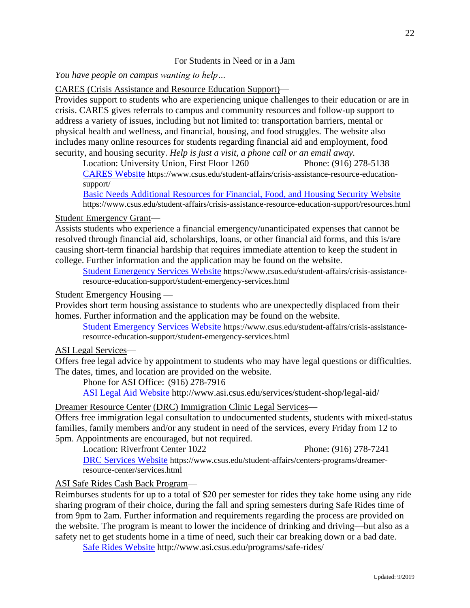# For Students in Need or in a Jam

*You have people on campus wanting to help…*

CARES (Crisis Assistance and Resource Education Support)—

Provides support to students who are experiencing unique challenges to their education or are in crisis. CARES gives referrals to campus and community resources and follow-up support to address a variety of issues, including but not limited to: transportation barriers, mental or physical health and wellness, and financial, housing, and food struggles. The website also includes many online resources for students regarding financial aid and employment, food security, and housing security. *Help is just a visit, a phone call or an email away.*

Location: University Union, First Floor 1260 Phone: (916) 278-5138 [CARES Website](file:///E:/Student%20Services/CSUS%20Student%20Resources/CARES%20Website:) https://www.csus.edu/student-affairs/crisis-assistance-resource-educationsupport/

[Basic Needs Additional Resources for Financial, Food, and Housing Security Website](https://www.csus.edu/student-affairs/crisis-assistance-resource-education-support/resources.html) https://www.csus.edu/student-affairs/crisis-assistance-resource-education-support/resources.html

Student Emergency Grant—

Assists students who experience a financial emergency/unanticipated expenses that cannot be resolved through financial aid, scholarships, loans, or other financial aid forms, and this is/are causing short-term financial hardship that requires immediate attention to keep the student in college. Further information and the application may be found on the website.

[Student Emergency Services Website](https://www.csus.edu/student-affairs/crisis-assistance-resource-education-support/student-emergency-services.html) https://www.csus.edu/student-affairs/crisis-assistanceresource-education-support/student-emergency-services.html

## Student Emergency Housing —

Provides short term housing assistance to students who are unexpectedly displaced from their homes. Further information and the application may be found on the website.

[Student Emergency Services Website](https://www.csus.edu/student-affairs/crisis-assistance-resource-education-support/student-emergency-services.html) https://www.csus.edu/student-affairs/crisis-assistanceresource-education-support/student-emergency-services.html

## ASI Legal Services—

Offers free legal advice by appointment to students who may have legal questions or difficulties. The dates, times, and location are provided on the website.

Phone for ASI Office: (916) 278-7916

[ASI Legal Aid Website](http://www.asi.csus.edu/services/student-shop/legal-aid/) http://www.asi.csus.edu/services/student-shop/legal-aid/

Dreamer Resource Center (DRC) Immigration Clinic Legal Services—

Offers free immigration legal consultation to undocumented students, students with mixed-status families, family members and/or any student in need of the services, every Friday from 12 to 5pm. Appointments are encouraged, but not required.

Location: Riverfront Center 1022 Phone: (916) 278-7241 [DRC Services Website](https://www.csus.edu/student-affairs/centers-programs/dreamer-resource-center/services.html) https://www.csus.edu/student-affairs/centers-programs/dreamerresource-center/services.html

ASI Safe Rides Cash Back Program—

Reimburses students for up to a total of \$20 per semester for rides they take home using any ride sharing program of their choice, during the fall and spring semesters during Safe Rides time of from 9pm to 2am. Further information and requirements regarding the process are provided on the website. The program is meant to lower the incidence of drinking and driving—but also as a safety net to get students home in a time of need, such their car breaking down or a bad date.

[Safe Rides Website](http://www.asi.csus.edu/programs/safe-rides/) http://www.asi.csus.edu/programs/safe-rides/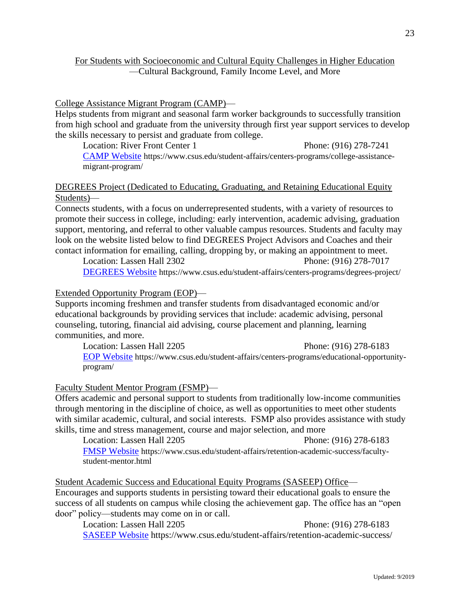# For Students with Socioeconomic and Cultural Equity Challenges in Higher Education —Cultural Background, Family Income Level, and More

## College Assistance Migrant Program (CAMP)—

Helps students from migrant and seasonal farm worker backgrounds to successfully transition from high school and graduate from the university through first year support services to develop the skills necessary to persist and graduate from college.

Location: River Front Center 1 Phone: (916) 278-7241 [CAMP Website](https://www.csus.edu/student-affairs/centers-programs/college-assistance-migrant-program/) https://www.csus.edu/student-affairs/centers-programs/college-assistancemigrant-program/

# DEGREES Project (Dedicated to Educating, Graduating, and Retaining Educational Equity Students)—

Connects students, with a focus on underrepresented students, with a variety of resources to promote their success in college, including: early intervention, academic advising, graduation support, mentoring, and referral to other valuable campus resources. Students and faculty may look on the website listed below to find DEGREES Project Advisors and Coaches and their contact information for emailing, calling, dropping by, or making an appointment to meet.

Location: Lassen Hall 2302 Phone: (916) 278-7017 [DEGREES Website](https://www.csus.edu/student-affairs/centers-programs/degrees-project/) https://www.csus.edu/student-affairs/centers-programs/degrees-project/

# Extended Opportunity Program (EOP)—

Supports incoming freshmen and transfer students from disadvantaged economic and/or educational backgrounds by providing services that include: academic advising, personal counseling, tutoring, financial aid advising, course placement and planning, learning communities, and more.

Location: Lassen Hall 2205 Phone: (916) 278-6183 [EOP Website](https://www.csus.edu/student-affairs/centers-programs/educational-opportunity-program/) https://www.csus.edu/student-affairs/centers-programs/educational-opportunityprogram/

# Faculty Student Mentor Program (FSMP)—

Offers academic and personal support to students from traditionally low-income communities through mentoring in the discipline of choice, as well as opportunities to meet other students with similar academic, cultural, and social interests. FSMP also provides assistance with study skills, time and stress management, course and major selection, and more

Location: Lassen Hall 2205 Phone: (916) 278-6183 [FMSP Website](https://www.csus.edu/student-affairs/retention-academic-success/faculty-student-mentor.html) https://www.csus.edu/student-affairs/retention-academic-success/facultystudent-mentor.html

Student Academic Success and Educational Equity Programs (SASEEP) Office— Encourages and supports students in persisting toward their educational goals to ensure the success of all students on campus while closing the achievement gap. The office has an "open door" policy—students may come on in or call.

Location: Lassen Hall 2205 Phone: (916) 278-6183 [SASEEP Website](https://www.csus.edu/student-affairs/retention-academic-success/) https://www.csus.edu/student-affairs/retention-academic-success/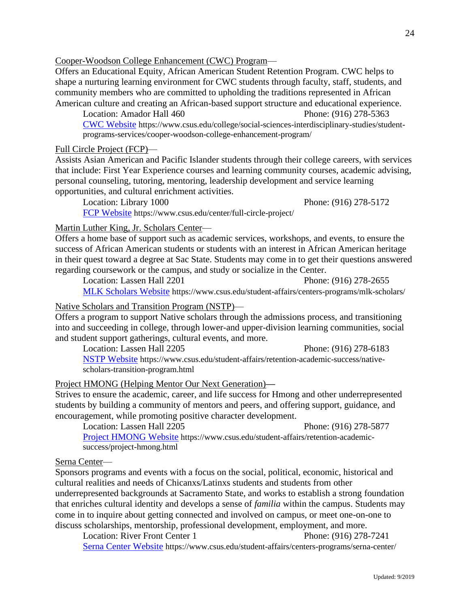Cooper-Woodson College Enhancement (CWC) Program—

Offers an Educational Equity, African American Student Retention Program. CWC helps to shape a nurturing learning environment for CWC students through faculty, staff, students, and community members who are committed to upholding the traditions represented in African American culture and creating an African-based support structure and educational experience.

Location: Amador Hall 460 Phone: (916) 278-5363 [CWC Website](https://www.csus.edu/college/social-sciences-interdisciplinary-studies/student-programs-services/cooper-woodson-college-enhancement-program/) https://www.csus.edu/college/social-sciences-interdisciplinary-studies/studentprograms-services/cooper-woodson-college-enhancement-program/

## Full Circle Project (FCP)—

Assists Asian American and Pacific Islander students through their college careers, with services that include: First Year Experience courses and learning community courses, academic advising, personal counseling, tutoring, mentoring, leadership development and service learning opportunities, and cultural enrichment activities.

Location: Library 1000 Phone: (916) 278-5172 [FCP Website](https://www.csus.edu/center/full-circle-project/) https://www.csus.edu/center/full-circle-project/

Martin Luther King, Jr. Scholars Center—

Offers a home base of support such as academic services, workshops, and events, to ensure the success of African American students or students with an interest in African American heritage in their quest toward a degree at Sac State. Students may come in to get their questions answered regarding coursework or the campus, and study or socialize in the Center.

Location: Lassen Hall 2201 Phone: (916) 278-2655 [MLK Scholars Website](https://www.csus.edu/student-affairs/centers-programs/mlk-scholars/) https://www.csus.edu/student-affairs/centers-programs/mlk-scholars/

#### Native Scholars and Transition Program (NSTP)—

Offers a program to support Native scholars through the admissions process, and transitioning into and succeeding in college, through lower-and upper-division learning communities, social and student support gatherings, cultural events, and more.

Location: Lassen Hall 2205 Phone: (916) 278-6183

[NSTP Website](https://www.csus.edu/student-affairs/retention-academic-success/native-scholars-transition-program.html) https://www.csus.edu/student-affairs/retention-academic-success/nativescholars-transition-program.html

# Project HMONG (Helping Mentor Our Next Generation)**—**

Strives to ensure the academic, career, and life success for Hmong and other underrepresented students by building a community of mentors and peers, and offering support, guidance, and encouragement, while promoting positive character development.

Location: Lassen Hall 2205 Phone: (916) 278-5877 [Project HMONG Website](https://www.csus.edu/student-affairs/retention-academic-success/project-hmong.html) https://www.csus.edu/student-affairs/retention-academicsuccess/project-hmong.html

# Serna Center—

Sponsors programs and events with a focus on the social, political, economic, historical and cultural realities and needs of Chicanxs/Latinxs students and students from other underrepresented backgrounds at Sacramento State, and works to establish a strong foundation that enriches cultural identity and develops a sense of *familia* within the campus. Students may come in to inquire about getting connected and involved on campus, or meet one-on-one to discuss scholarships, mentorship, professional development, employment, and more.

Location: River Front Center 1 Phone: (916) 278-7241 [Serna Center Website](https://www.csus.edu/student-affairs/centers-programs/serna-center/) https://www.csus.edu/student-affairs/centers-programs/serna-center/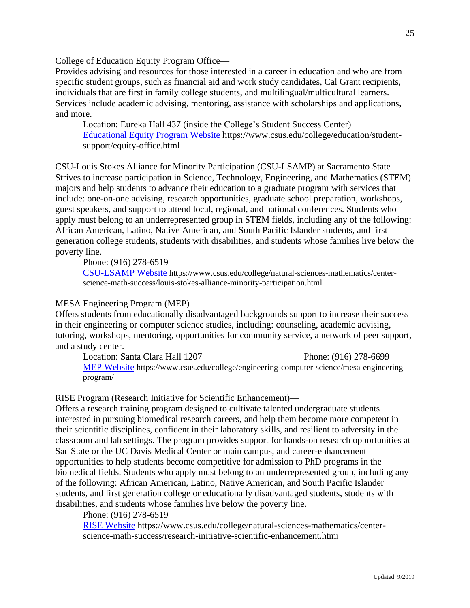College of Education Equity Program Office—

Provides advising and resources for those interested in a career in education and who are from specific student groups, such as financial aid and work study candidates, Cal Grant recipients, individuals that are first in family college students, and multilingual/multicultural learners. Services include academic advising, mentoring, assistance with scholarships and applications, and more.

Location: Eureka Hall 437 (inside the College's Student Success Center) Educational [Equity Program](https://www.csus.edu/college/education/student-support/equity-office.html) Website https://www.csus.edu/college/education/studentsupport/equity-office.html

CSU-Louis Stokes Alliance for Minority Participation (CSU-LSAMP) at Sacramento State— Strives to increase participation in Science, Technology, Engineering, and Mathematics (STEM) majors and help students to advance their education to a graduate program with services that include: one-on-one advising, research opportunities, graduate school preparation, workshops, guest speakers, and support to attend local, regional, and national conferences. Students who apply must belong to an underrepresented group in STEM fields, including any of the following: African American, Latino, Native American, and South Pacific Islander students, and first generation college students, students with disabilities, and students whose families live below the poverty line.

Phone: (916) 278-6519

[CSU-LSAMP Website](https://www.csus.edu/college/natural-sciences-mathematics/center-science-math-success/louis-stokes-alliance-minority-participation.html) https://www.csus.edu/college/natural-sciences-mathematics/centerscience-math-success/louis-stokes-alliance-minority-participation.html

#### MESA Engineering Program (MEP)—

Offers students from educationally disadvantaged backgrounds support to increase their success in their engineering or computer science studies, including: counseling, academic advising, tutoring, workshops, mentoring, opportunities for community service, a network of peer support, and a study center.

Location: Santa Clara Hall 1207 Phone: (916) 278-6699 [MEP Website](https://www.csus.edu/college/engineering-computer-science/mesa-engineering-program/) https://www.csus.edu/college/engineering-computer-science/mesa-engineeringprogram/

#### RISE Program (Research Initiative for Scientific Enhancement)—

Offers a research training program designed to cultivate talented undergraduate students interested in pursuing biomedical research careers, and help them become more competent in their scientific disciplines, confident in their laboratory skills, and resilient to adversity in the classroom and lab settings. The program provides support for hands-on research opportunities at Sac State or the UC Davis Medical Center or main campus, and career-enhancement opportunities to help students become competitive for admission to PhD programs in the biomedical fields. Students who apply must belong to an underrepresented group, including any of the following: African American, Latino, Native American, and South Pacific Islander students, and first generation college or educationally disadvantaged students, students with disabilities, and students whose families live below the poverty line.

Phone: (916) 278-6519

[RISE Website](https://www.csus.edu/college/natural-sciences-mathematics/center-science-math-success/research-initiative-scientific-enhancement.html) https://www.csus.edu/college/natural-sciences-mathematics/centerscience-math-success/research-initiative-scientific-enhancement.html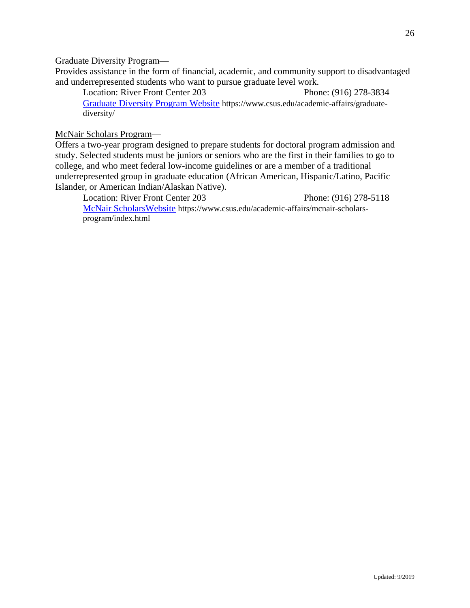Graduate Diversity Program—

Provides assistance in the form of financial, academic, and community support to disadvantaged and underrepresented students who want to pursue graduate level work.

Location: River Front Center 203 Phone: (916) 278-3834 [Graduate Diversity Program Website](https://www.csus.edu/academic-affairs/graduate-diversity/) https://www.csus.edu/academic-affairs/graduatediversity/

McNair Scholars Program—

Offers a two-year program designed to prepare students for doctoral program admission and study. Selected students must be juniors or seniors who are the first in their families to go to college, and who meet federal low-income guidelines or are a member of a traditional underrepresented group in graduate education (African American, Hispanic/Latino, Pacific Islander, or American Indian/Alaskan Native).

Location: River Front Center 203 Phone: (916) 278-5118 [McNair ScholarsWebsite](https://www.csus.edu/academic-affairs/mcnair-scholars-program/index.html) https://www.csus.edu/academic-affairs/mcnair-scholarsprogram/index.html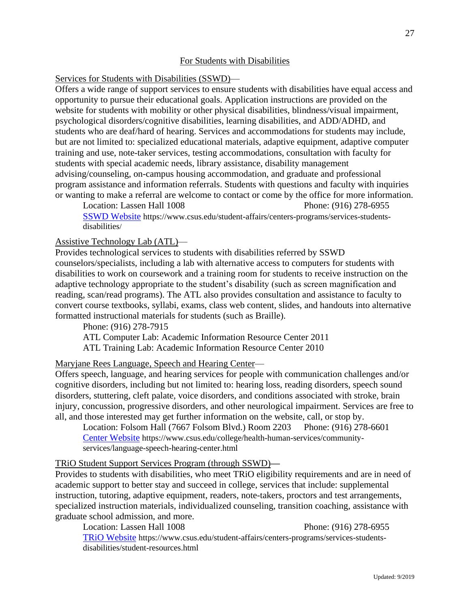# For Students with Disabilities

# Services for Students with Disabilities (SSWD)—

Offers a wide range of support services to ensure students with disabilities have equal access and opportunity to pursue their educational goals. Application instructions are provided on the website for students with mobility or other physical disabilities, blindness/visual impairment, psychological disorders/cognitive disabilities, learning disabilities, and ADD/ADHD, and students who are deaf/hard of hearing. Services and accommodations for students may include, but are not limited to: specialized educational materials, adaptive equipment, adaptive computer training and use, note-taker services, testing accommodations, consultation with faculty for students with special academic needs, library assistance, disability management advising/counseling, on-campus housing accommodation, and graduate and professional program assistance and information referrals. Students with questions and faculty with inquiries or wanting to make a referral are welcome to contact or come by the office for more information.

Location: Lassen Hall 1008 Phone: (916) 278-6955 [SSWD Website](https://www.csus.edu/student-affairs/centers-programs/services-students-disabilities/) https://www.csus.edu/student-affairs/centers-programs/services-studentsdisabilities/

# Assistive Technology Lab (ATL)—

Provides technological services to students with disabilities referred by SSWD counselors/specialists, including a lab with alternative access to computers for students with disabilities to work on coursework and a training room for students to receive instruction on the adaptive technology appropriate to the student's disability (such as screen magnification and reading, scan/read programs). The ATL also provides consultation and assistance to faculty to convert course textbooks, syllabi, exams, class web content, slides, and handouts into alternative formatted instructional materials for students (such as Braille).

Phone: (916) 278-7915

ATL Computer Lab: Academic Information Resource Center 2011 ATL Training Lab: Academic Information Resource Center 2010

# Maryjane Rees Language, Speech and Hearing Center—

Offers speech, language, and hearing services for people with communication challenges and/or cognitive disorders, including but not limited to: hearing loss, reading disorders, speech sound disorders, stuttering, cleft palate, voice disorders, and conditions associated with stroke, brain injury, concussion, progressive disorders, and other neurological impairment. Services are free to all, and those interested may get further information on the website, call, or stop by.

Location: Folsom Hall (7667 Folsom Blvd.) Room 2203 Phone: (916) 278-6601 [Center Website](https://www.csus.edu/college/health-human-services/community-services/language-speech-hearing-center.html) https://www.csus.edu/college/health-human-services/communityservices/language-speech-hearing-center.html

# TRiO Student Support Services Program (through SSWD)**—**

Provides to students with disabilities, who meet TRiO eligibility requirements and are in need of academic support to better stay and succeed in college, services that include: supplemental instruction, tutoring, adaptive equipment, readers, note-takers, proctors and test arrangements, specialized instruction materials, individualized counseling, transition coaching, assistance with graduate school admission, and more.

Location: Lassen Hall 1008 Phone: (916) 278-6955 [TRiO Website](https://www.csus.edu/student-affairs/centers-programs/services-students-disabilities/student-resources.html) https://www.csus.edu/student-affairs/centers-programs/services-studentsdisabilities/student-resources.html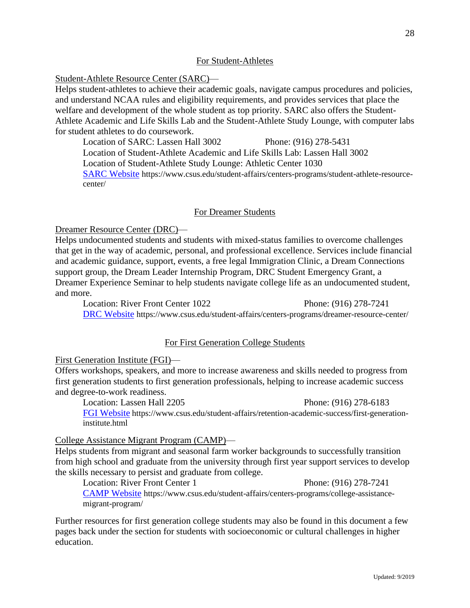# For Student-Athletes

Student-Athlete Resource Center (SARC)—

Helps student-athletes to achieve their academic goals, navigate campus procedures and policies, and understand NCAA rules and eligibility requirements, and provides services that place the welfare and development of the whole student as top priority. SARC also offers the Student-Athlete Academic and Life Skills Lab and the Student-Athlete Study Lounge, with computer labs for student athletes to do coursework.

Location of SARC: Lassen Hall 3002 Phone: (916) 278-5431

Location of Student-Athlete Academic and Life Skills Lab: Lassen Hall 3002

Location of Student-Athlete Study Lounge: Athletic Center 1030

[SARC Website](https://www.csus.edu/student-affairs/centers-programs/student-athlete-resource-center/) https://www.csus.edu/student-affairs/centers-programs/student-athlete-resourcecenter/

#### For Dreamer Students

Dreamer Resource Center (DRC)—

Helps undocumented students and students with mixed-status families to overcome challenges that get in the way of academic, personal, and professional excellence. Services include financial and academic guidance, support, events, a free legal Immigration Clinic, a Dream Connections support group, the Dream Leader Internship Program, DRC Student Emergency Grant, a Dreamer Experience Seminar to help students navigate college life as an undocumented student, and more.

Location: River Front Center 1022 Phone: (916) 278-7241 [DRC Website](https://www.csus.edu/student-affairs/centers-programs/dreamer-resource-center/) https://www.csus.edu/student-affairs/centers-programs/dreamer-resource-center/

#### For First Generation College Students

#### First Generation Institute (FGI)—

Offers workshops, speakers, and more to increase awareness and skills needed to progress from first generation students to first generation professionals, helping to increase academic success and degree-to-work readiness.

Location: Lassen Hall 2205 Phone: (916) 278-6183 [FGI Website](https://www.csus.edu/student-affairs/retention-academic-success/first-generation-institute.html) https://www.csus.edu/student-affairs/retention-academic-success/first-generationinstitute.html

#### College Assistance Migrant Program (CAMP)—

Helps students from migrant and seasonal farm worker backgrounds to successfully transition from high school and graduate from the university through first year support services to develop the skills necessary to persist and graduate from college.

Location: River Front Center 1 Phone: (916) 278-7241 [CAMP Website](https://www.csus.edu/student-affairs/centers-programs/college-assistance-migrant-program/) https://www.csus.edu/student-affairs/centers-programs/college-assistancemigrant-program/

Further resources for first generation college students may also be found in this document a few pages back under the section for students with socioeconomic or cultural challenges in higher education.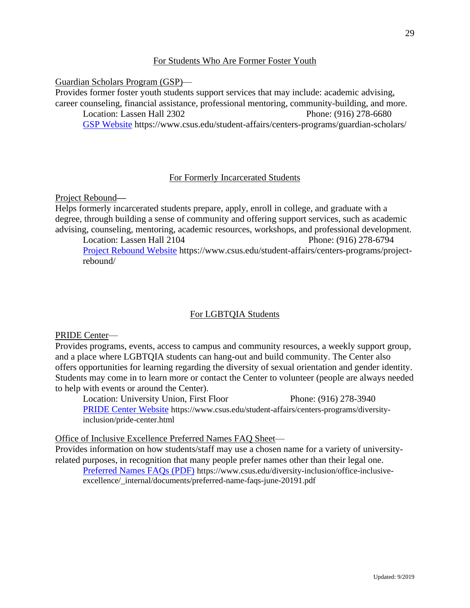# For Students Who Are Former Foster Youth

Guardian Scholars Program (GSP)—

Provides former foster youth students support services that may include: academic advising, career counseling, financial assistance, professional mentoring, community-building, and more. Location: Lassen Hall 2302 Phone: (916) 278-6680

[GSP Website](https://www.csus.edu/student-affairs/centers-programs/guardian-scholars/) https://www.csus.edu/student-affairs/centers-programs/guardian-scholars/

# For Formerly Incarcerated Students

Project Rebound**—**

Helps formerly incarcerated students prepare, apply, enroll in college, and graduate with a degree, through building a sense of community and offering support services, such as academic advising, counseling, mentoring, academic resources, workshops, and professional development.

Location: Lassen Hall 2104 Phone: (916) 278-6794 [Project Rebound Website](https://www.csus.edu/student-affairs/centers-programs/project-rebound/) https://www.csus.edu/student-affairs/centers-programs/projectrebound/

# For LGBTQIA Students

PRIDE Center—

Provides programs, events, access to campus and community resources, a weekly support group, and a place where LGBTQIA students can hang-out and build community. The Center also offers opportunities for learning regarding the diversity of sexual orientation and gender identity. Students may come in to learn more or contact the Center to volunteer (people are always needed to help with events or around the Center).

Location: University Union, First Floor Phone: (916) 278-3940 [PRIDE Center Website](https://www.csus.edu/student-affairs/centers-programs/diversity-inclusion/pride-center.html) https://www.csus.edu/student-affairs/centers-programs/diversityinclusion/pride-center.html

Office of Inclusive Excellence Preferred Names FAQ Sheet—

Provides information on how students/staff may use a chosen name for a variety of universityrelated purposes, in recognition that many people prefer names other than their legal one. [Preferred Names FAQs \(PDF\)](https://www.csus.edu/diversity-inclusion/office-inclusive-excellence/_internal/documents/preferred-name-faqs-june-20191.pdf) https://www.csus.edu/diversity-inclusion/office-inclusiveexcellence/\_internal/documents/preferred-name-faqs-june-20191.pdf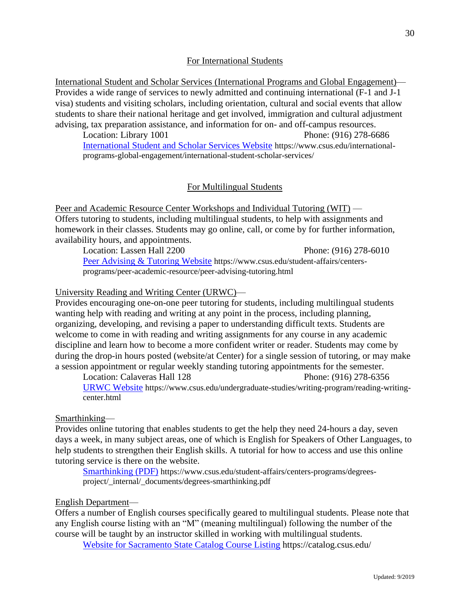# For International Students

International Student and Scholar Services (International Programs and Global Engagement)— Provides a wide range of services to newly admitted and continuing international (F-1 and J-1 visa) students and visiting scholars, including orientation, cultural and social events that allow students to share their national heritage and get involved, immigration and cultural adjustment advising, tax preparation assistance, and information for on- and off-campus resources.

Location: Library 1001 Phone: (916) 278-6686 [International Student and Scholar Services Website](https://www.csus.edu/international-programs-global-engagement/international-student-scholar-services/) https://www.csus.edu/internationalprograms-global-engagement/international-student-scholar-services/

## For Multilingual Students

Peer and Academic Resource Center Workshops and Individual Tutoring (WIT) — Offers tutoring to students, including multilingual students, to help with assignments and homework in their classes. Students may go online, call, or come by for further information, availability hours, and appointments.

Location: Lassen Hall 2200 Phone: (916) 278-6010 [Peer Advising & Tutoring Website](https://www.csus.edu/student-affairs/centers-programs/peer-academic-resource/peer-advising-tutoring.html) https://www.csus.edu/student-affairs/centersprograms/peer-academic-resource/peer-advising-tutoring.html

#### University Reading and Writing Center (URWC)—

Provides encouraging one-on-one peer tutoring for students, including multilingual students wanting help with reading and writing at any point in the process, including planning, organizing, developing, and revising a paper to understanding difficult texts. Students are welcome to come in with reading and writing assignments for any course in any academic discipline and learn how to become a more confident writer or reader. Students may come by during the drop-in hours posted (website/at Center) for a single session of tutoring, or may make a session appointment or regular weekly standing tutoring appointments for the semester.

Location: Calaveras Hall 128 Phone: (916) 278-6356 [URWC Website](https://www.csus.edu/undergraduate-studies/writing-program/reading-writing-center.html) https://www.csus.edu/undergraduate-studies/writing-program/reading-writingcenter.html

#### Smarthinking—

Provides online tutoring that enables students to get the help they need 24-hours a day, seven days a week, in many subject areas, one of which is English for Speakers of Other Languages, to help students to strengthen their English skills. A tutorial for how to access and use this online tutoring service is there on the website.

[Smarthinking \(PDF\)](https://www.csus.edu/student-affairs/centers-programs/degrees-project/_internal/_documents/degrees-smarthinking.pdf) https://www.csus.edu/student-affairs/centers-programs/degreesproject/\_internal/\_documents/degrees-smarthinking.pdf

#### English Department—

Offers a number of English courses specifically geared to multilingual students. Please note that any English course listing with an "M" (meaning multilingual) following the number of the course will be taught by an instructor skilled in working with multilingual students.

[Website for Sacramento State Catalog Course Listing](https://catalog.csus.edu/) https://catalog.csus.edu/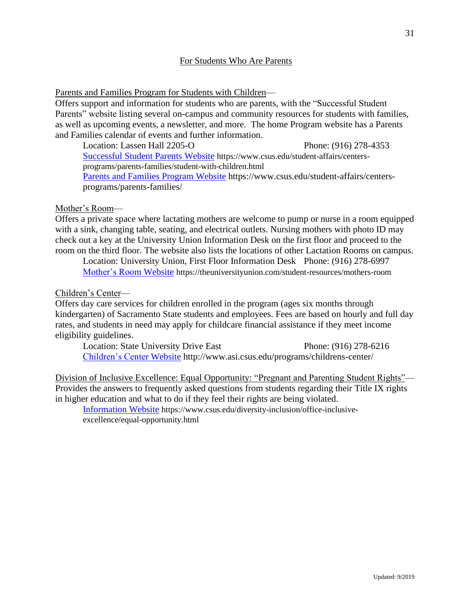# For Students Who Are Parents

Parents and Families Program for Students with Children—

Offers support and information for students who are parents, with the "Successful Student Parents" website listing several on-campus and community resources for students with families, as well as upcoming events, a newsletter, and more. The home Program website has a Parents and Families calendar of events and further information.

Location: Lassen Hall 2205-O Phone: (916) 278-4353 [Successful Student Parents](https://www.csus.edu/student-affairs/centers-programs/parents-families/student-with-children.html) Website https://www.csus.edu/student-affairs/centersprograms/parents-families/student-with-children.html [Parents and Families Program Website](https://www.csus.edu/student-affairs/centers-programs/parents-families/) https://www.csus.edu/student-affairs/centersprograms/parents-families/

# Mother's Room—

Offers a private space where lactating mothers are welcome to pump or nurse in a room equipped with a sink, changing table, seating, and electrical outlets. Nursing mothers with photo ID may check out a key at the University Union Information Desk on the first floor and proceed to the room on the third floor. The website also lists the locations of other Lactation Rooms on campus.

Location: University Union, First Floor Information Desk Phone: (916) 278-6997 [Mother's Room Website](https://theuniversityunion.com/student-resources/mothers-room) https://theuniversityunion.com/student-resources/mothers-room

## Children's Center—

Offers day care services for children enrolled in the program (ages six months through kindergarten) of Sacramento State students and employees. Fees are based on hourly and full day rates, and students in need may apply for childcare financial assistance if they meet income eligibility guidelines.

Location: State University Drive East Phone: (916) 278-6216 [Children's Center Website](http://www.asi.csus.edu/programs/childrens-center/) http://www.asi.csus.edu/programs/childrens-center/

Division of Inclusive Excellence: Equal Opportunity: "Pregnant and Parenting Student Rights"— Provides the answers to frequently asked questions from students regarding their Title IX rights in higher education and what to do if they feel their rights are being violated.

[Information Website](https://www.csus.edu/diversity-inclusion/office-inclusive-excellence/equal-opportunity.html) https://www.csus.edu/diversity-inclusion/office-inclusiveexcellence/equal-opportunity.html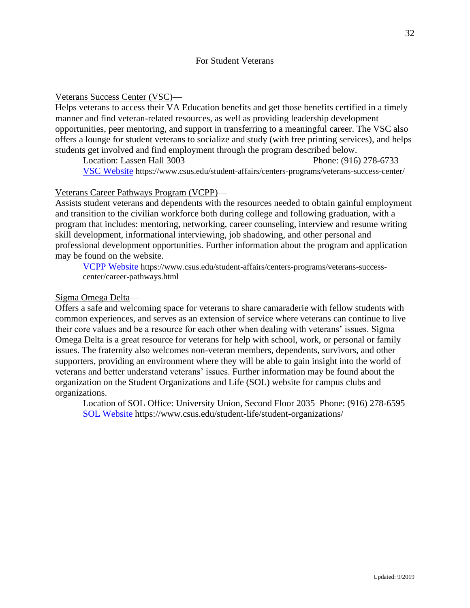## For Student Veterans

## Veterans Success Center (VSC)—

Helps veterans to access their VA Education benefits and get those benefits certified in a timely manner and find veteran-related resources, as well as providing leadership development opportunities, peer mentoring, and support in transferring to a meaningful career. The VSC also offers a lounge for student veterans to socialize and study (with free printing services), and helps students get involved and find employment through the program described below.

Location: Lassen Hall 3003 Phone: (916) 278-6733 [VSC Website](https://www.csus.edu/student-affairs/centers-programs/veterans-success-center/) https://www.csus.edu/student-affairs/centers-programs/veterans-success-center/

## Veterans Career Pathways Program (VCPP)—

Assists student veterans and dependents with the resources needed to obtain gainful employment and transition to the civilian workforce both during college and following graduation, with a program that includes: mentoring, networking, career counseling, interview and resume writing skill development, informational interviewing, job shadowing, and other personal and professional development opportunities. Further information about the program and application may be found on the website.

[VCPP Website](file:///E:/CSUS%20Listening%20to%20Students%20January%202019/Listening%20to%20Students%20CSUS/All%20Sections%20Out.1/List%20to%20Students%20New%20Organization%20of%20Sections/Students%20of%20Different%20Types/VCPP%20Website:) https://www.csus.edu/student-affairs/centers-programs/veterans-successcenter/career-pathways.html

## Sigma Omega Delta—

Offers a safe and welcoming space for veterans to share camaraderie with fellow students with common experiences, and serves as an extension of service where veterans can continue to live their core values and be a resource for each other when dealing with veterans' issues. Sigma Omega Delta is a great resource for veterans for help with school, work, or personal or family issues. The fraternity also welcomes non-veteran members, dependents, survivors, and other supporters, providing an environment where they will be able to gain insight into the world of veterans and better understand veterans' issues. Further information may be found about the organization on the Student Organizations and Life (SOL) website for campus clubs and organizations.

Location of SOL Office: University Union, Second Floor 2035 Phone: (916) 278-6595 [SOL Website](https://www.csus.edu/student-life/student-organizations/) https://www.csus.edu/student-life/student-organizations/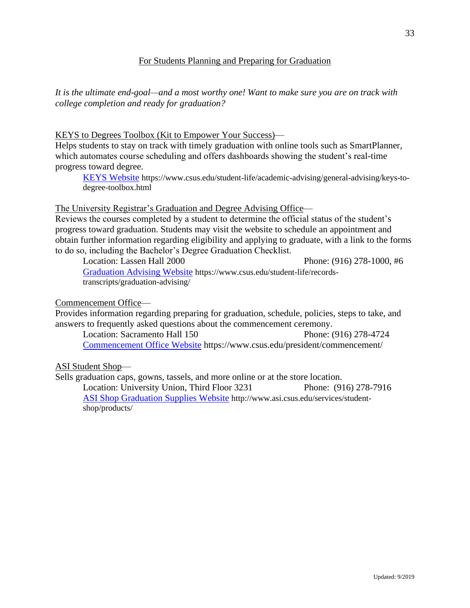# For Students Planning and Preparing for Graduation

*It is the ultimate end-goal—and a most worthy one! Want to make sure you are on track with college completion and ready for graduation?*

## KEYS to Degrees Toolbox (Kit to Empower Your Success)—

Helps students to stay on track with timely graduation with online tools such as SmartPlanner, which automates course scheduling and offers dashboards showing the student's real-time progress toward degree.

[KEYS Website](https://www.csus.edu/student-life/academic-advising/general-advising/keys-to-degree-toolbox.html) https://www.csus.edu/student-life/academic-advising/general-advising/keys-todegree-toolbox.html

#### The University Registrar's Graduation and Degree Advising Office—

Reviews the courses completed by a student to determine the official status of the student's progress toward graduation. Students may visit the website to schedule an appointment and obtain further information regarding eligibility and applying to graduate, with a link to the forms to do so, including the Bachelor's Degree Graduation Checklist.

Location: Lassen Hall 2000 Phone: (916) 278-1000, #6 [Graduation Advising Website](https://www.csus.edu/student-life/records-transcripts/graduation-advising/) https://www.csus.edu/student-life/recordstranscripts/graduation-advising/

#### Commencement Office—

Provides information regarding preparing for graduation, schedule, policies, steps to take, and answers to frequently asked questions about the commencement ceremony.

Location: Sacramento Hall 150 Phone: (916) 278-4724 [Commencement Office Website](https://www.csus.edu/president/commencement/) https://www.csus.edu/president/commencement/

#### ASI Student Shop—

Sells graduation caps, gowns, tassels, and more online or at the store location. Location: University Union, Third Floor 3231 Phone: (916) 278-7916 [ASI Shop Graduation Supplies Website](http://www.asi.csus.edu/services/student-shop/products/) http://www.asi.csus.edu/services/studentshop/products/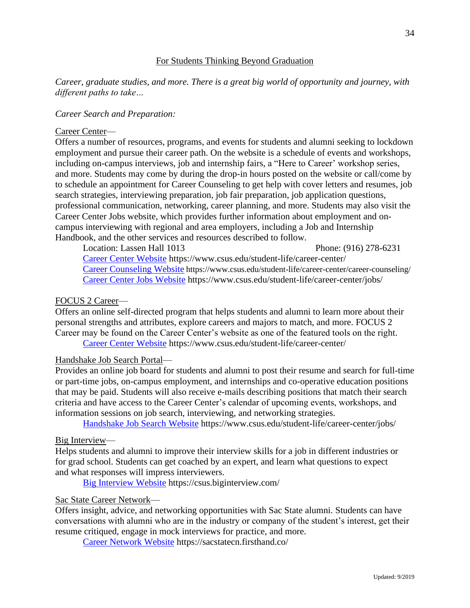# For Students Thinking Beyond Graduation

# *Career, graduate studies, and more. There is a great big world of opportunity and journey, with different paths to take…*

#### *Career Search and Preparation:*

#### Career Center—

Offers a number of resources, programs, and events for students and alumni seeking to lockdown employment and pursue their career path. On the website is a schedule of events and workshops, including on-campus interviews, job and internship fairs, a "Here to Career' workshop series, and more. Students may come by during the drop-in hours posted on the website or call/come by to schedule an appointment for Career Counseling to get help with cover letters and resumes, job search strategies, interviewing preparation, job fair preparation, job application questions, professional communication, networking, career planning, and more. Students may also visit the Career Center Jobs website, which provides further information about employment and oncampus interviewing with regional and area employers, including a Job and Internship Handbook, and the other services and resources described to follow.

Location: Lassen Hall 1013 Phone: (916) 278-6231 [Career Center Website](https://www.csus.edu/student-life/career-center/) https://www.csus.edu/student-life/career-center/ [Career Counseling Website](https://www.csus.edu/student-life/career-center/career-counseling/) https://www.csus.edu/student-life/career-center/career-counseling/ [Career Center Jobs Website](https://www.csus.edu/student-life/career-center/jobs/) https://www.csus.edu/student-life/career-center/jobs/

#### FOCUS 2 Career—

Offers an online self-directed program that helps students and alumni to learn more about their personal strengths and attributes, explore careers and majors to match, and more. FOCUS 2 Career may be found on the Career Center's website as one of the featured tools on the right. [Career Center Website](https://www.csus.edu/student-life/career-center/) https://www.csus.edu/student-life/career-center/

#### Handshake Job Search Portal—

Provides an online job board for students and alumni to post their resume and search for full-time or part-time jobs, on-campus employment, and internships and co-operative education positions that may be paid. Students will also receive e-mails describing positions that match their search criteria and have access to the Career Center's calendar of upcoming events, workshops, and information sessions on job search, interviewing, and networking strategies.

[Handshake Job Search Website](https://www.csus.edu/student-life/career-center/jobs/) https://www.csus.edu/student-life/career-center/jobs/

#### Big Interview—

Helps students and alumni to improve their interview skills for a job in different industries or for grad school. Students can get coached by an expert, and learn what questions to expect and what responses will impress interviewers.

[Big Interview Website](https://csus.biginterview.com/) https://csus.biginterview.com/

#### Sac State Career Network—

Offers insight, advice, and networking opportunities with Sac State alumni. Students can have conversations with alumni who are in the industry or company of the student's interest, get their resume critiqued, engage in mock interviews for practice, and more.

[Career Network Website](https://sacstatecn.firsthand.co/) https://sacstatecn.firsthand.co/